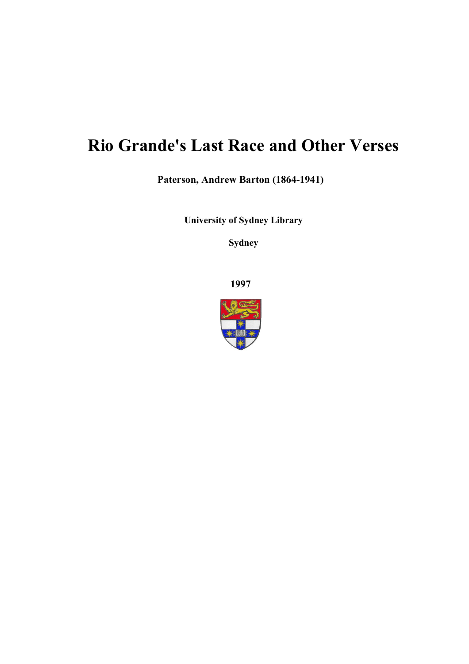# **Rio Grande's Last Race and Other Verses**

**Paterson, Andrew Barton (1864-1941)**

**University of Sydney Library** 

**Sydney** 

**1997**

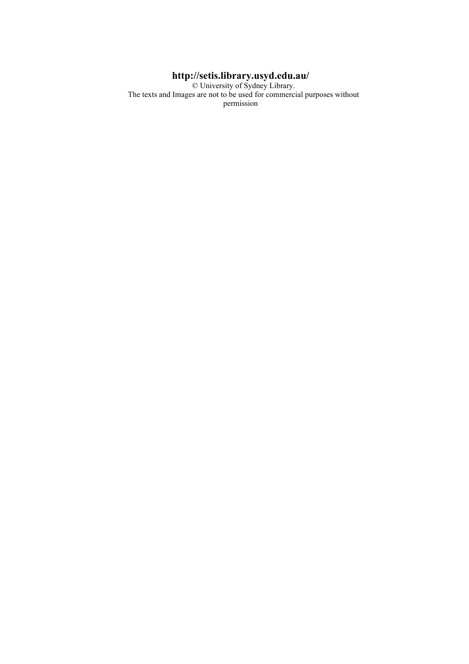#### **http://setis.library.usyd.edu.au/**

 © University of Sydney Library. The texts and Images are not to be used for commercial purposes without permission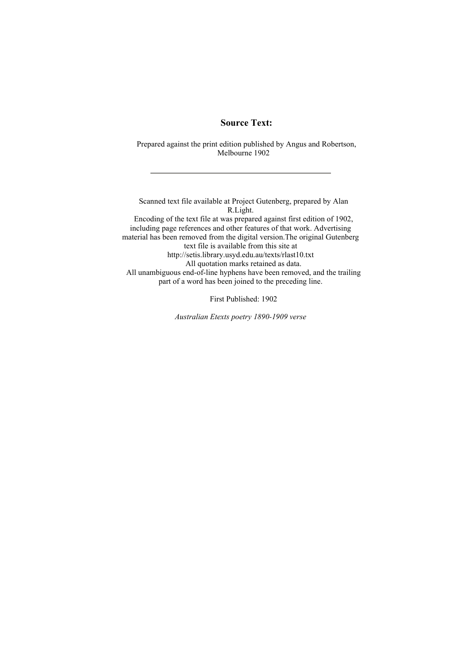#### **Source Text:**

 Prepared against the print edition published by Angus and Robertson, Melbourne 1902

 Scanned text file available at Project Gutenberg, prepared by Alan R.Light. Encoding of the text file at was prepared against first edition of 1902, including page references and other features of that work. Advertising material has been removed from the digital version.The original Gutenberg text file is available from this site at http://setis.library.usyd.edu.au/texts/rlast10.txt All quotation marks retained as data. All unambiguous end-of-line hyphens have been removed, and the trailing part of a word has been joined to the preceding line.

First Published: 1902

*Australian Etexts poetry 1890-1909 verse*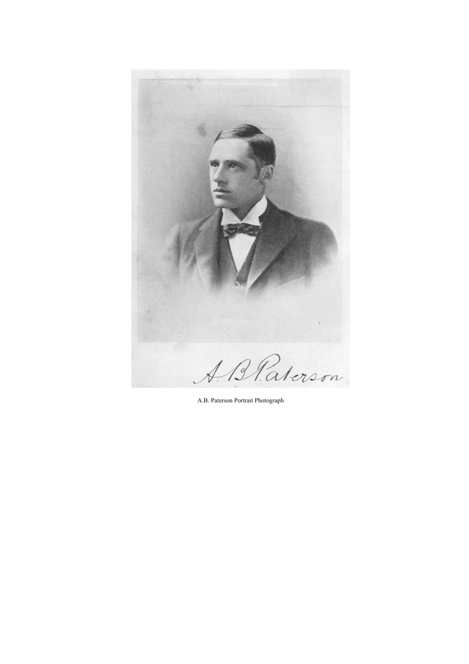

A.B. Paterson Portrait Photograph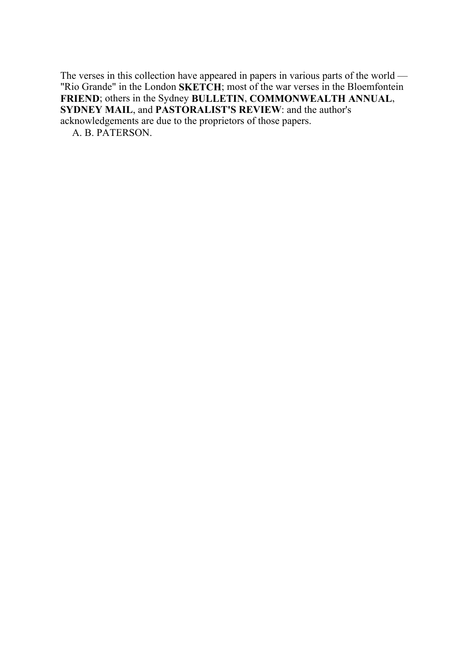The verses in this collection have appeared in papers in various parts of the world — "Rio Grande" in the London **SKETCH**; most of the war verses in the Bloemfontein **FRIEND**; others in the Sydney **BULLETIN**, **COMMONWEALTH ANNUAL**, **SYDNEY MAIL**, and **PASTORALIST'S REVIEW**: and the author's acknowledgements are due to the proprietors of those papers.

A. B. PATERSON.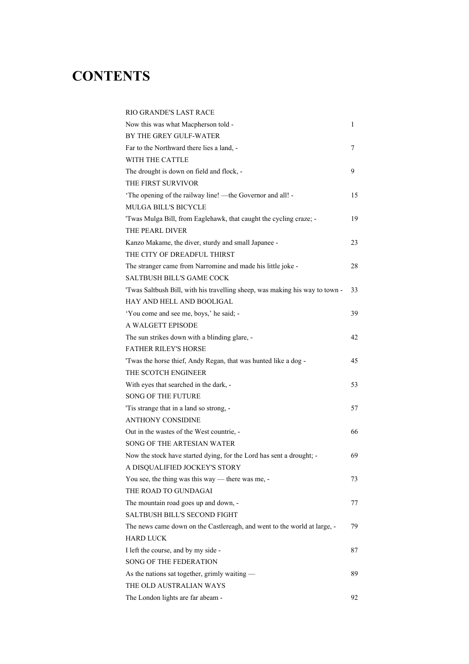## **CONTENTS**

| RIO GRANDE'S LAST RACE                                                       |    |
|------------------------------------------------------------------------------|----|
| Now this was what Macpherson told -                                          | 1  |
| BY THE GREY GULF-WATER                                                       |    |
| Far to the Northward there lies a land, -                                    | 7  |
| WITH THE CATTLE                                                              |    |
| The drought is down on field and flock, -                                    | 9  |
| THE FIRST SURVIVOR                                                           |    |
| 'The opening of the railway line! —the Governor and all! -                   | 15 |
| <b>MULGA BILL'S BICYCLE</b>                                                  |    |
| 'Twas Mulga Bill, from Eaglehawk, that caught the cycling craze; -           | 19 |
| THE PEARL DIVER                                                              |    |
| Kanzo Makame, the diver, sturdy and small Japanee -                          | 23 |
| THE CITY OF DREADFUL THIRST                                                  |    |
| The stranger came from Narromine and made his little joke -                  | 28 |
| <b>SALTBUSH BILL'S GAME COCK</b>                                             |    |
| 'Twas Saltbush Bill, with his travelling sheep, was making his way to town - | 33 |
| HAY AND HELL AND BOOLIGAL                                                    |    |
| 'You come and see me, boys,' he said; -                                      | 39 |
| A WALGETT EPISODE                                                            |    |
| The sun strikes down with a blinding glare, -                                | 42 |
| <b>FATHER RILEY'S HORSE</b>                                                  |    |
| 'Twas the horse thief, Andy Regan, that was hunted like a dog -              | 45 |
| THE SCOTCH ENGINEER                                                          |    |
| With eyes that searched in the dark, -                                       | 53 |
| <b>SONG OF THE FUTURE</b>                                                    |    |
| 'Tis strange that in a land so strong, -                                     | 57 |
| <b>ANTHONY CONSIDINE</b>                                                     |    |
| Out in the wastes of the West countrie, -                                    | 66 |
| SONG OF THE ARTESIAN WATER                                                   |    |
| Now the stock have started dying, for the Lord has sent a drought; -         | 69 |
| A DISQUALIFIED JOCKEY'S STORY                                                |    |
| You see, the thing was this way — there was me, -                            | 73 |
| THE ROAD TO GUNDAGAI                                                         |    |
| The mountain road goes up and down, -                                        | 77 |
| <b>SALTBUSH BILL'S SECOND FIGHT</b>                                          |    |
| The news came down on the Castlereagh, and went to the world at large, -     | 79 |
| <b>HARD LUCK</b>                                                             |    |
| I left the course, and by my side -                                          | 87 |
| <b>SONG OF THE FEDERATION</b>                                                |    |
| As the nations sat together, grimly waiting —                                | 89 |
| THE OLD AUSTRALIAN WAYS                                                      |    |
| The London lights are far abeam -                                            | 92 |
|                                                                              |    |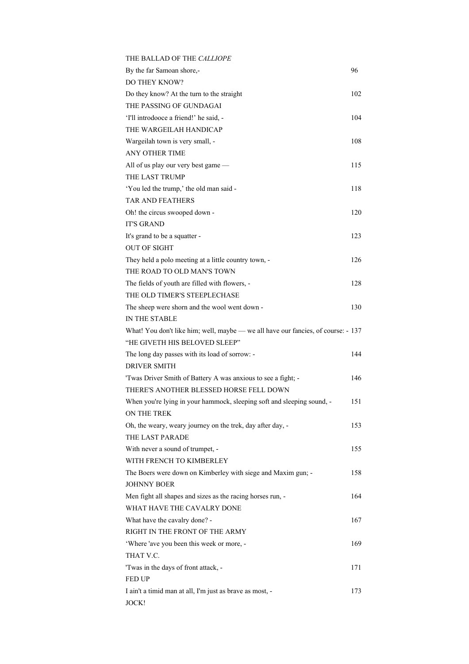| THE BALLAD OF THE CALLIOPE                                                        |     |
|-----------------------------------------------------------------------------------|-----|
| By the far Samoan shore,-                                                         | 96  |
| DO THEY KNOW?                                                                     |     |
| Do they know? At the turn to the straight                                         | 102 |
| THE PASSING OF GUNDAGAI                                                           |     |
| 'I'll introdooce a friend!' he said, -                                            | 104 |
| THE WARGEILAH HANDICAP                                                            |     |
| Wargeilah town is very small, -                                                   | 108 |
| ANY OTHER TIME                                                                    |     |
| All of us play our very best game -                                               | 115 |
| THE LAST TRUMP                                                                    |     |
| 'You led the trump,' the old man said -                                           | 118 |
| <b>TAR AND FEATHERS</b>                                                           |     |
| Oh! the circus swooped down -                                                     | 120 |
| <b>IT'S GRAND</b>                                                                 |     |
| It's grand to be a squatter -                                                     | 123 |
| <b>OUT OF SIGHT</b>                                                               |     |
| They held a polo meeting at a little country town, -                              | 126 |
| THE ROAD TO OLD MAN'S TOWN                                                        |     |
| The fields of youth are filled with flowers, -                                    | 128 |
| THE OLD TIMER'S STEEPLECHASE                                                      |     |
| The sheep were shorn and the wool went down -                                     | 130 |
| IN THE STABLE                                                                     |     |
| What! You don't like him; well, maybe — we all have our fancies, of course: - 137 |     |
| "HE GIVETH HIS BELOVED SLEEP"                                                     |     |
| The long day passes with its load of sorrow: -                                    | 144 |
| <b>DRIVER SMITH</b>                                                               |     |
| 'Twas Driver Smith of Battery A was anxious to see a fight; -                     | 146 |
| THERE'S ANOTHER BLESSED HORSE FELL DOWN                                           |     |
| When you're lying in your hammock, sleeping soft and sleeping sound, -            | 151 |
| ON THE TREK                                                                       |     |
| Oh, the weary, weary journey on the trek, day after day, -                        | 153 |
| THE LAST PARADE                                                                   |     |
| With never a sound of trumpet, -                                                  | 155 |
| WITH FRENCH TO KIMBERLEY                                                          |     |
| The Boers were down on Kimberley with siege and Maxim gun; -                      | 158 |
| <b>JOHNNY BOER</b>                                                                |     |
| Men fight all shapes and sizes as the racing horses run, -                        | 164 |
| WHAT HAVE THE CAVALRY DONE                                                        |     |
| What have the cavalry done? -                                                     | 167 |
| RIGHT IN THE FRONT OF THE ARMY                                                    |     |
| 'Where 'ave you been this week or more, -                                         | 169 |
| THAT V.C.                                                                         |     |
| 'Twas in the days of front attack, -                                              | 171 |
| <b>FED UP</b>                                                                     |     |
| I ain't a timid man at all, I'm just as brave as most, -                          | 173 |
| JOCK!                                                                             |     |
|                                                                                   |     |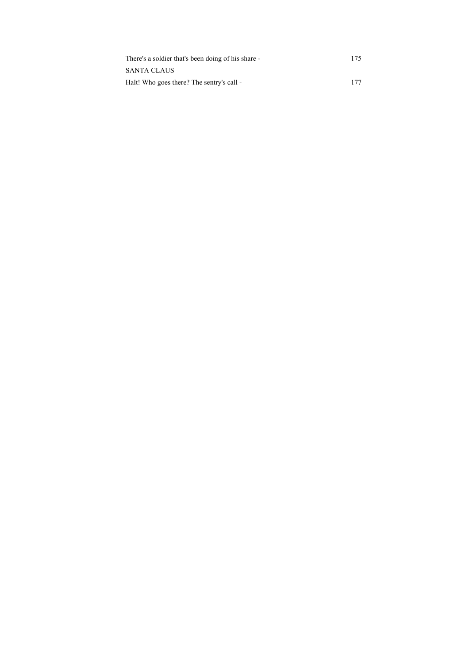| There's a soldier that's been doing of his share - | 175 |
|----------------------------------------------------|-----|
| <b>SANTA CLAUS</b>                                 |     |
| Halt! Who goes there? The sentry's call -          | 177 |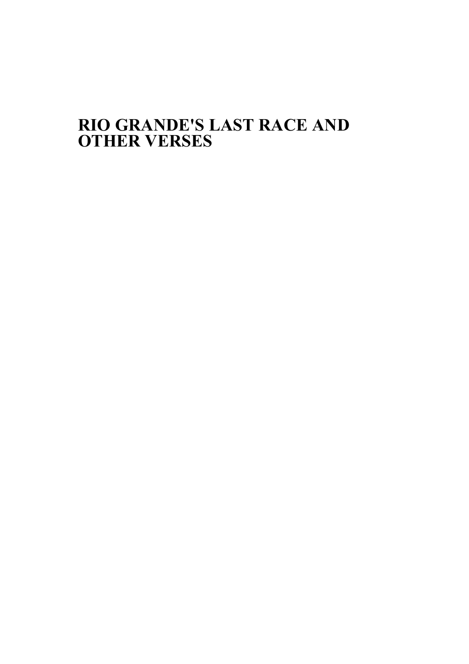## **RIO GRANDE'S LAST RACE AND OTHER VERSES**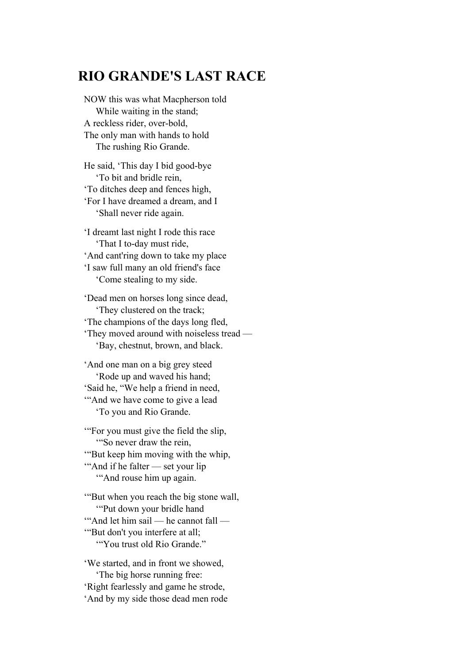### **RIO GRANDE'S LAST RACE**

NOW this was what Macpherson told While waiting in the stand; A reckless rider, over-bold, The only man with hands to hold The rushing Rio Grande.

He said, 'This day I bid good-bye 'To bit and bridle rein, 'To ditches deep and fences high, 'For I have dreamed a dream, and I 'Shall never ride again.

'I dreamt last night I rode this race 'That I to-day must ride, 'And cant'ring down to take my place 'I saw full many an old friend's face 'Come stealing to my side.

'Dead men on horses long since dead, 'They clustered on the track; 'The champions of the days long fled, 'They moved around with noiseless tread — 'Bay, chestnut, brown, and black.

'And one man on a big grey steed 'Rode up and waved his hand; 'Said he, "We help a friend in need, '"And we have come to give a lead 'To you and Rio Grande.

'"For you must give the field the slip, '"So never draw the rein, '"But keep him moving with the whip, '"And if he falter — set your lip '"And rouse him up again.

'"But when you reach the big stone wall, '"Put down your bridle hand '"And let him sail — he cannot fall — '"But don't you interfere at all; '"You trust old Rio Grande."

'We started, and in front we showed, 'The big horse running free: 'Right fearlessly and game he strode, 'And by my side those dead men rode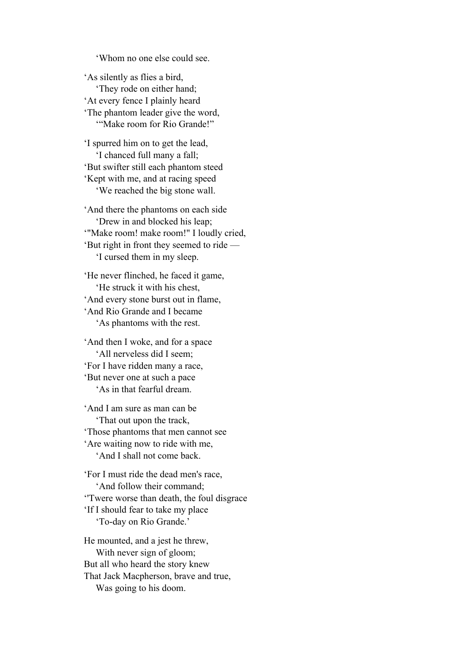'Whom no one else could see.

'As silently as flies a bird, 'They rode on either hand; 'At every fence I plainly heard 'The phantom leader give the word, '"Make room for Rio Grande!"

'I spurred him on to get the lead, 'I chanced full many a fall; 'But swifter still each phantom steed 'Kept with me, and at racing speed 'We reached the big stone wall.

'And there the phantoms on each side 'Drew in and blocked his leap; '"Make room! make room!" I loudly cried, 'But right in front they seemed to ride — 'I cursed them in my sleep.

'He never flinched, he faced it game, 'He struck it with his chest, 'And every stone burst out in flame, 'And Rio Grande and I became 'As phantoms with the rest.

'And then I woke, and for a space 'All nerveless did I seem; 'For I have ridden many a race, 'But never one at such a pace 'As in that fearful dream.

'And I am sure as man can be 'That out upon the track, 'Those phantoms that men cannot see 'Are waiting now to ride with me, 'And I shall not come back.

'For I must ride the dead men's race, 'And follow their command; ''Twere worse than death, the foul disgrace 'If I should fear to take my place 'To-day on Rio Grande.'

He mounted, and a jest he threw, With never sign of gloom; But all who heard the story knew That Jack Macpherson, brave and true, Was going to his doom.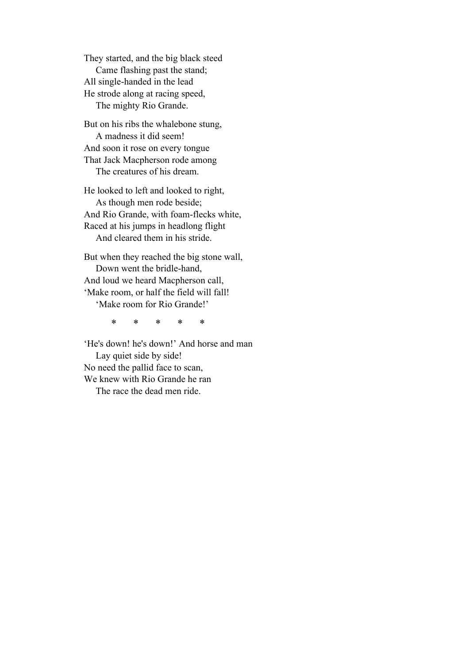They started, and the big black steed Came flashing past the stand; All single-handed in the lead He strode along at racing speed, The mighty Rio Grande.

But on his ribs the whalebone stung, A madness it did seem! And soon it rose on every tongue That Jack Macpherson rode among The creatures of his dream.

He looked to left and looked to right, As though men rode beside; And Rio Grande, with foam-flecks white, Raced at his jumps in headlong flight And cleared them in his stride.

But when they reached the big stone wall, Down went the bridle-hand, And loud we heard Macpherson call, 'Make room, or half the field will fall! 'Make room for Rio Grande!'

\* \* \* \* \*

'He's down! he's down!' And horse and man Lay quiet side by side! No need the pallid face to scan, We knew with Rio Grande he ran The race the dead men ride.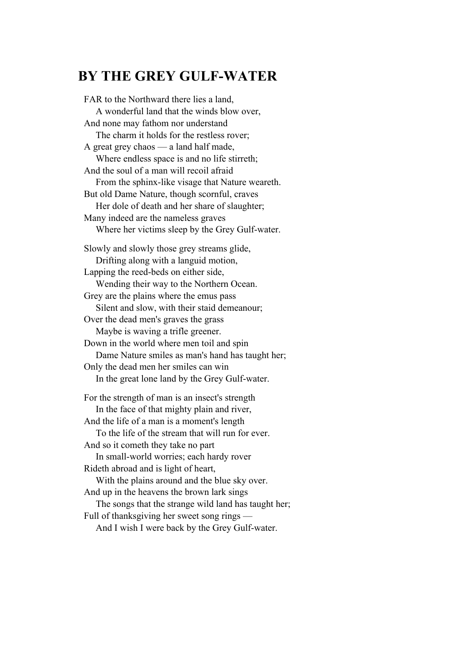## **BY THE GREY GULF-WATER**

FAR to the Northward there lies a land, A wonderful land that the winds blow over, And none may fathom nor understand The charm it holds for the restless rover; A great grey chaos — a land half made, Where endless space is and no life stirreth; And the soul of a man will recoil afraid From the sphinx-like visage that Nature weareth. But old Dame Nature, though scornful, craves Her dole of death and her share of slaughter; Many indeed are the nameless graves Where her victims sleep by the Grey Gulf-water. Slowly and slowly those grey streams glide, Drifting along with a languid motion, Lapping the reed-beds on either side, Wending their way to the Northern Ocean. Grey are the plains where the emus pass Silent and slow, with their staid demeanour; Over the dead men's graves the grass Maybe is waving a trifle greener. Down in the world where men toil and spin Dame Nature smiles as man's hand has taught her; Only the dead men her smiles can win In the great lone land by the Grey Gulf-water. For the strength of man is an insect's strength In the face of that mighty plain and river, And the life of a man is a moment's length To the life of the stream that will run for ever. And so it cometh they take no part In small-world worries; each hardy rover Rideth abroad and is light of heart, With the plains around and the blue sky over. And up in the heavens the brown lark sings The songs that the strange wild land has taught her; Full of thanksgiving her sweet song rings — And I wish I were back by the Grey Gulf-water.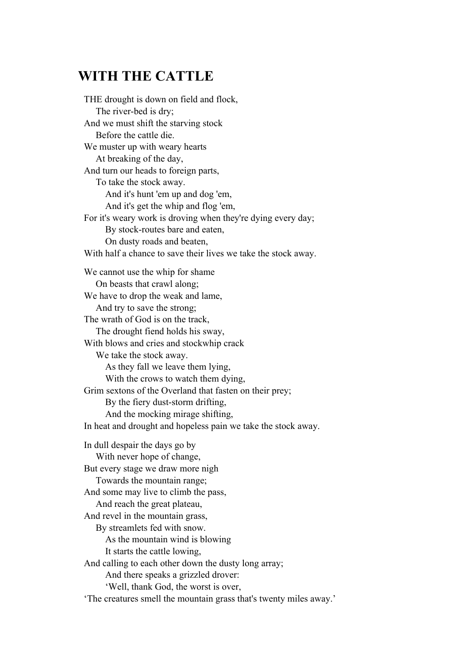## **WITH THE CATTLE**

THE drought is down on field and flock, The river-bed is dry; And we must shift the starving stock Before the cattle die. We muster up with weary hearts At breaking of the day, And turn our heads to foreign parts, To take the stock away. And it's hunt 'em up and dog 'em, And it's get the whip and flog 'em, For it's weary work is droving when they're dying every day; By stock-routes bare and eaten, On dusty roads and beaten, With half a chance to save their lives we take the stock away. We cannot use the whip for shame On beasts that crawl along; We have to drop the weak and lame, And try to save the strong; The wrath of God is on the track, The drought fiend holds his sway, With blows and cries and stockwhip crack We take the stock away. As they fall we leave them lying, With the crows to watch them dying, Grim sextons of the Overland that fasten on their prey; By the fiery dust-storm drifting, And the mocking mirage shifting, In heat and drought and hopeless pain we take the stock away. In dull despair the days go by With never hope of change, But every stage we draw more nigh Towards the mountain range; And some may live to climb the pass, And reach the great plateau, And revel in the mountain grass, By streamlets fed with snow. As the mountain wind is blowing It starts the cattle lowing, And calling to each other down the dusty long array; And there speaks a grizzled drover: 'Well, thank God, the worst is over, 'The creatures smell the mountain grass that's twenty miles away.'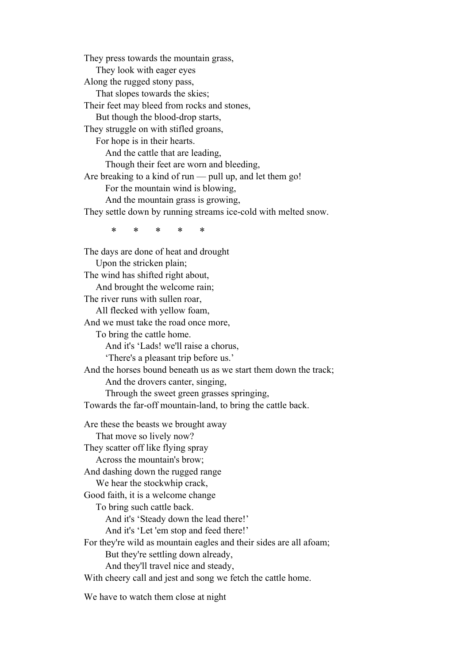They press towards the mountain grass, They look with eager eyes Along the rugged stony pass, That slopes towards the skies; Their feet may bleed from rocks and stones, But though the blood-drop starts, They struggle on with stifled groans, For hope is in their hearts. And the cattle that are leading, Though their feet are worn and bleeding, Are breaking to a kind of run — pull up, and let them go! For the mountain wind is blowing, And the mountain grass is growing, They settle down by running streams ice-cold with melted snow. \* \* \* \* \* The days are done of heat and drought Upon the stricken plain; The wind has shifted right about, And brought the welcome rain; The river runs with sullen roar, All flecked with yellow foam, And we must take the road once more, To bring the cattle home. And it's 'Lads! we'll raise a chorus, 'There's a pleasant trip before us.' And the horses bound beneath us as we start them down the track; And the drovers canter, singing, Through the sweet green grasses springing, Towards the far-off mountain-land, to bring the cattle back. Are these the beasts we brought away That move so lively now? They scatter off like flying spray Across the mountain's brow; And dashing down the rugged range We hear the stockwhip crack, Good faith, it is a welcome change To bring such cattle back. And it's 'Steady down the lead there!' And it's 'Let 'em stop and feed there!'

For they're wild as mountain eagles and their sides are all afoam; But they're settling down already,

And they'll travel nice and steady,

With cheery call and jest and song we fetch the cattle home.

We have to watch them close at night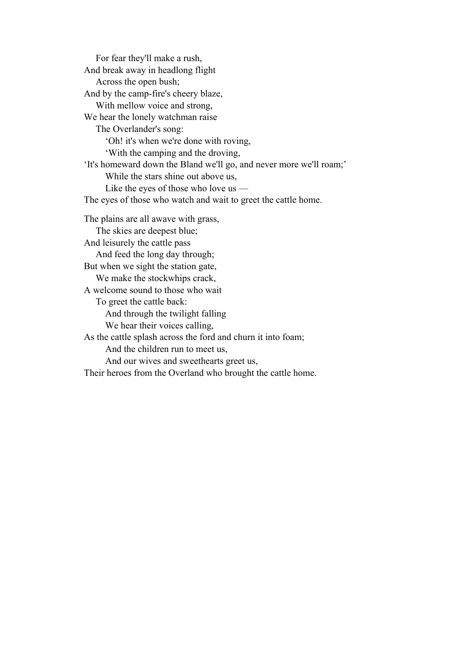For fear they'll make a rush, And break away in headlong flight Across the open bush; And by the camp-fire's cheery blaze, With mellow voice and strong, We hear the lonely watchman raise The Overlander's song: 'Oh! it's when we're done with roving, 'With the camping and the droving, 'It's homeward down the Bland we'll go, and never more we'll roam;' While the stars shine out above us, Like the eyes of those who love us — The eyes of those who watch and wait to greet the cattle home. The plains are all awave with grass, The skies are deepest blue; And leisurely the cattle pass And feed the long day through; But when we sight the station gate, We make the stockwhips crack, A welcome sound to those who wait To greet the cattle back: And through the twilight falling We hear their voices calling, As the cattle splash across the ford and churn it into foam; And the children run to meet us, And our wives and sweethearts greet us, Their heroes from the Overland who brought the cattle home.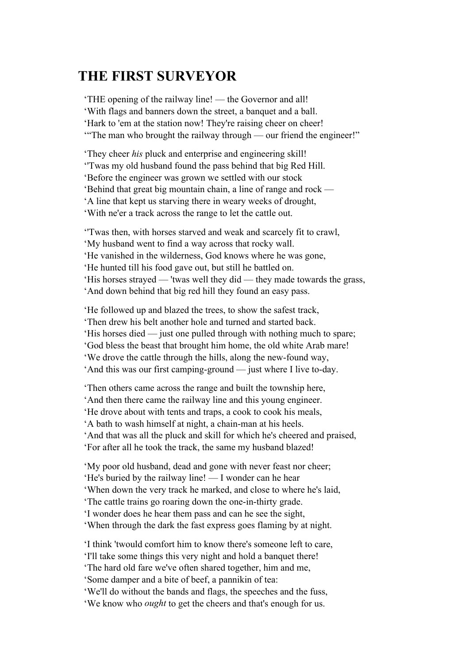## **THE FIRST SURVEYOR**

'THE opening of the railway line! — the Governor and all! 'With flags and banners down the street, a banquet and a ball. 'Hark to 'em at the station now! They're raising cheer on cheer! '"The man who brought the railway through — our friend the engineer!"

'They cheer *his* pluck and enterprise and engineering skill! ''Twas my old husband found the pass behind that big Red Hill. 'Before the engineer was grown we settled with our stock 'Behind that great big mountain chain, a line of range and rock — 'A line that kept us starving there in weary weeks of drought, 'With ne'er a track across the range to let the cattle out.

''Twas then, with horses starved and weak and scarcely fit to crawl, 'My husband went to find a way across that rocky wall. 'He vanished in the wilderness, God knows where he was gone, 'He hunted till his food gave out, but still he battled on. 'His horses strayed — 'twas well they did — they made towards the grass, 'And down behind that big red hill they found an easy pass.

'He followed up and blazed the trees, to show the safest track, 'Then drew his belt another hole and turned and started back. 'His horses died — just one pulled through with nothing much to spare; 'God bless the beast that brought him home, the old white Arab mare! 'We drove the cattle through the hills, along the new-found way, 'And this was our first camping-ground — just where I live to-day.

'Then others came across the range and built the township here, 'And then there came the railway line and this young engineer. 'He drove about with tents and traps, a cook to cook his meals, 'A bath to wash himself at night, a chain-man at his heels.

'And that was all the pluck and skill for which he's cheered and praised, 'For after all he took the track, the same my husband blazed!

'My poor old husband, dead and gone with never feast nor cheer; 'He's buried by the railway line! — I wonder can he hear 'When down the very track he marked, and close to where he's laid, 'The cattle trains go roaring down the one-in-thirty grade. 'I wonder does he hear them pass and can he see the sight,

'When through the dark the fast express goes flaming by at night.

'I think 'twould comfort him to know there's someone left to care,

'I'll take some things this very night and hold a banquet there!

'The hard old fare we've often shared together, him and me,

'Some damper and a bite of beef, a pannikin of tea:

'We'll do without the bands and flags, the speeches and the fuss,

'We know who *ought* to get the cheers and that's enough for us.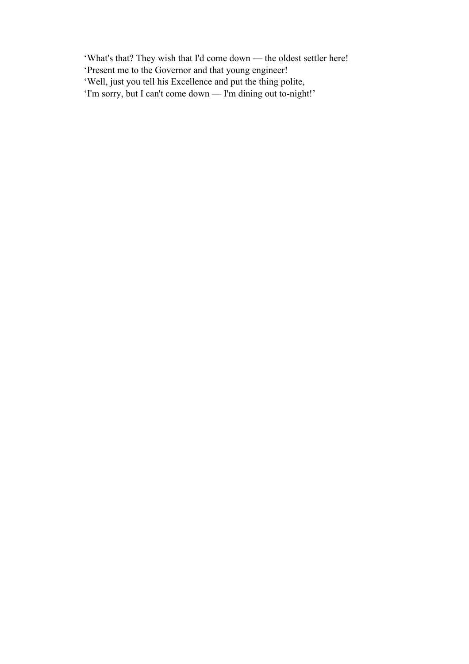'What's that? They wish that I'd come down — the oldest settler here!

- 'Present me to the Governor and that young engineer!
- 'Well, just you tell his Excellence and put the thing polite,
- 'I'm sorry, but I can't come down I'm dining out to-night!'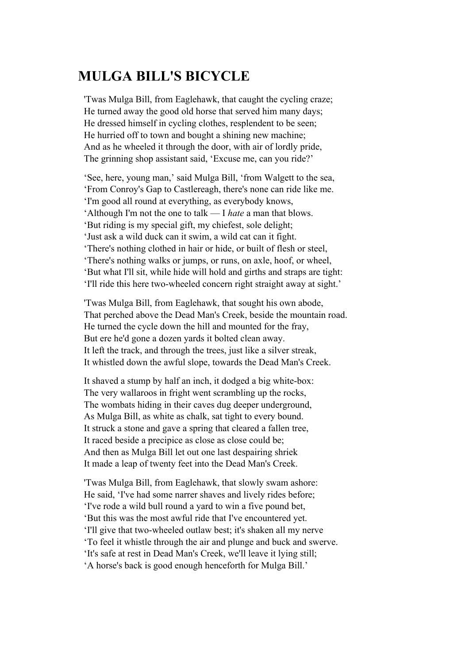## **MULGA BILL'S BICYCLE**

'Twas Mulga Bill, from Eaglehawk, that caught the cycling craze; He turned away the good old horse that served him many days; He dressed himself in cycling clothes, resplendent to be seen; He hurried off to town and bought a shining new machine; And as he wheeled it through the door, with air of lordly pride, The grinning shop assistant said, 'Excuse me, can you ride?'

'See, here, young man,' said Mulga Bill, 'from Walgett to the sea, 'From Conroy's Gap to Castlereagh, there's none can ride like me. 'I'm good all round at everything, as everybody knows, 'Although I'm not the one to talk — I *hate* a man that blows. 'But riding is my special gift, my chiefest, sole delight; 'Just ask a wild duck can it swim, a wild cat can it fight. 'There's nothing clothed in hair or hide, or built of flesh or steel, 'There's nothing walks or jumps, or runs, on axle, hoof, or wheel, 'But what I'll sit, while hide will hold and girths and straps are tight: 'I'll ride this here two-wheeled concern right straight away at sight.'

'Twas Mulga Bill, from Eaglehawk, that sought his own abode, That perched above the Dead Man's Creek, beside the mountain road. He turned the cycle down the hill and mounted for the fray, But ere he'd gone a dozen yards it bolted clean away. It left the track, and through the trees, just like a silver streak, It whistled down the awful slope, towards the Dead Man's Creek.

It shaved a stump by half an inch, it dodged a big white-box: The very wallaroos in fright went scrambling up the rocks, The wombats hiding in their caves dug deeper underground, As Mulga Bill, as white as chalk, sat tight to every bound. It struck a stone and gave a spring that cleared a fallen tree, It raced beside a precipice as close as close could be; And then as Mulga Bill let out one last despairing shriek It made a leap of twenty feet into the Dead Man's Creek.

'Twas Mulga Bill, from Eaglehawk, that slowly swam ashore: He said, 'I've had some narrer shaves and lively rides before; 'I've rode a wild bull round a yard to win a five pound bet, 'But this was the most awful ride that I've encountered yet. 'I'll give that two-wheeled outlaw best; it's shaken all my nerve 'To feel it whistle through the air and plunge and buck and swerve. 'It's safe at rest in Dead Man's Creek, we'll leave it lying still; 'A horse's back is good enough henceforth for Mulga Bill.'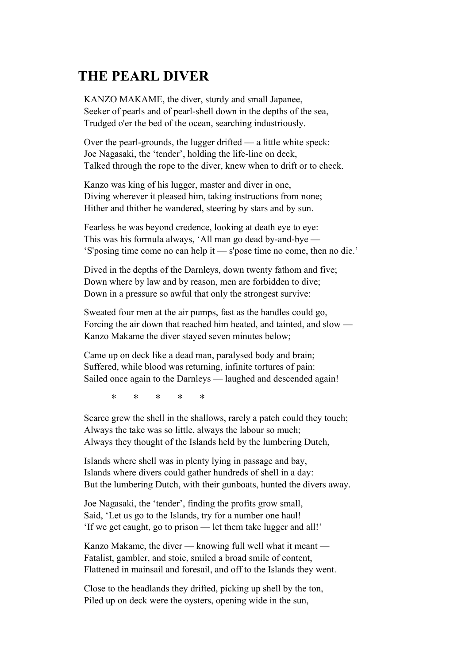## **THE PEARL DIVER**

KANZO MAKAME, the diver, sturdy and small Japanee, Seeker of pearls and of pearl-shell down in the depths of the sea, Trudged o'er the bed of the ocean, searching industriously.

Over the pearl-grounds, the lugger drifted — a little white speck: Joe Nagasaki, the 'tender', holding the life-line on deck, Talked through the rope to the diver, knew when to drift or to check.

Kanzo was king of his lugger, master and diver in one, Diving wherever it pleased him, taking instructions from none; Hither and thither he wandered, steering by stars and by sun.

Fearless he was beyond credence, looking at death eye to eye: This was his formula always, 'All man go dead by-and-bye — 'S'posing time come no can help it — s'pose time no come, then no die.'

Dived in the depths of the Darnleys, down twenty fathom and five; Down where by law and by reason, men are forbidden to dive; Down in a pressure so awful that only the strongest survive:

Sweated four men at the air pumps, fast as the handles could go, Forcing the air down that reached him heated, and tainted, and slow — Kanzo Makame the diver stayed seven minutes below;

Came up on deck like a dead man, paralysed body and brain; Suffered, while blood was returning, infinite tortures of pain: Sailed once again to the Darnleys — laughed and descended again!

\* \* \* \* \*

Scarce grew the shell in the shallows, rarely a patch could they touch; Always the take was so little, always the labour so much; Always they thought of the Islands held by the lumbering Dutch,

Islands where shell was in plenty lying in passage and bay, Islands where divers could gather hundreds of shell in a day: But the lumbering Dutch, with their gunboats, hunted the divers away.

Joe Nagasaki, the 'tender', finding the profits grow small, Said, 'Let us go to the Islands, try for a number one haul! 'If we get caught, go to prison — let them take lugger and all!'

Kanzo Makame, the diver — knowing full well what it meant — Fatalist, gambler, and stoic, smiled a broad smile of content, Flattened in mainsail and foresail, and off to the Islands they went.

Close to the headlands they drifted, picking up shell by the ton, Piled up on deck were the oysters, opening wide in the sun,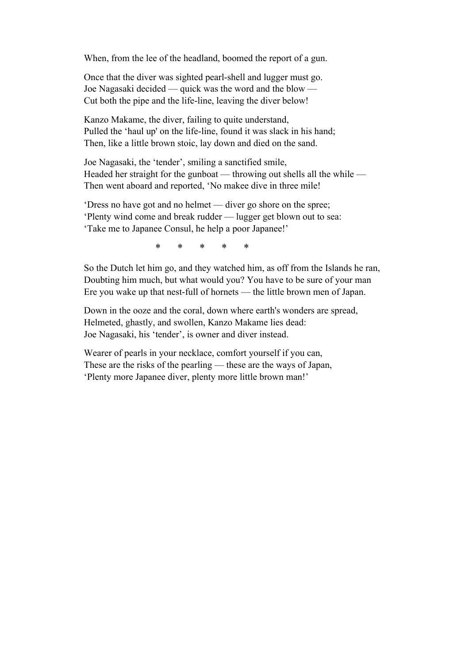When, from the lee of the headland, boomed the report of a gun.

Once that the diver was sighted pearl-shell and lugger must go. Joe Nagasaki decided — quick was the word and the blow — Cut both the pipe and the life-line, leaving the diver below!

Kanzo Makame, the diver, failing to quite understand, Pulled the 'haul up' on the life-line, found it was slack in his hand; Then, like a little brown stoic, lay down and died on the sand.

Joe Nagasaki, the 'tender', smiling a sanctified smile, Headed her straight for the gunboat — throwing out shells all the while — Then went aboard and reported, 'No makee dive in three mile!

'Dress no have got and no helmet — diver go shore on the spree; 'Plenty wind come and break rudder — lugger get blown out to sea: 'Take me to Japanee Consul, he help a poor Japanee!'

\* \* \* \* \*

So the Dutch let him go, and they watched him, as off from the Islands he ran, Doubting him much, but what would you? You have to be sure of your man Ere you wake up that nest-full of hornets — the little brown men of Japan.

Down in the ooze and the coral, down where earth's wonders are spread, Helmeted, ghastly, and swollen, Kanzo Makame lies dead: Joe Nagasaki, his 'tender', is owner and diver instead.

Wearer of pearls in your necklace, comfort yourself if you can, These are the risks of the pearling — these are the ways of Japan, 'Plenty more Japanee diver, plenty more little brown man!'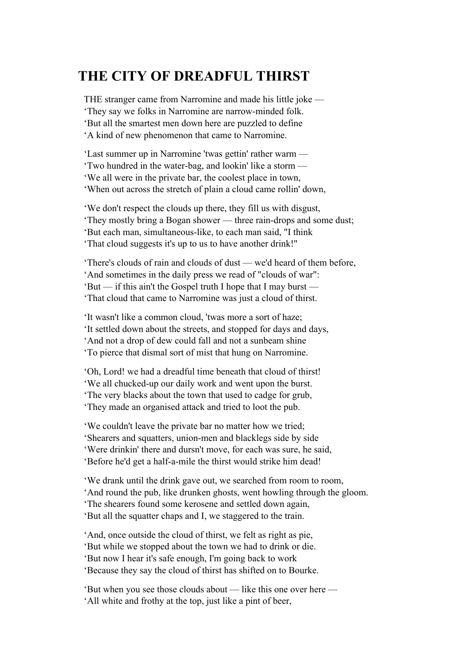## **THE CITY OF DREADFUL THIRST**

THE stranger came from Narromine and made his little joke — 'They say we folks in Narromine are narrow-minded folk. 'But all the smartest men down here are puzzled to define 'A kind of new phenomenon that came to Narromine.

'Last summer up in Narromine 'twas gettin' rather warm — 'Two hundred in the water-bag, and lookin' like a storm — 'We all were in the private bar, the coolest place in town, 'When out across the stretch of plain a cloud came rollin' down,

'We don't respect the clouds up there, they fill us with disgust, 'They mostly bring a Bogan shower — three rain-drops and some dust; 'But each man, simultaneous-like, to each man said, "I think 'That cloud suggests it's up to us to have another drink!"

'There's clouds of rain and clouds of dust — we'd heard of them before, 'And sometimes in the daily press we read of "clouds of war": 'But — if this ain't the Gospel truth I hope that I may burst — 'That cloud that came to Narromine was just a cloud of thirst.

'It wasn't like a common cloud, 'twas more a sort of haze; 'It settled down about the streets, and stopped for days and days, 'And not a drop of dew could fall and not a sunbeam shine 'To pierce that dismal sort of mist that hung on Narromine.

'Oh, Lord! we had a dreadful time beneath that cloud of thirst! 'We all chucked-up our daily work and went upon the burst. 'The very blacks about the town that used to cadge for grub, 'They made an organised attack and tried to loot the pub.

'We couldn't leave the private bar no matter how we tried; 'Shearers and squatters, union-men and blacklegs side by side 'Were drinkin' there and dursn't move, for each was sure, he said, 'Before he'd get a half-a-mile the thirst would strike him dead!

'We drank until the drink gave out, we searched from room to room, 'And round the pub, like drunken ghosts, went howling through the gloom. 'The shearers found some kerosene and settled down again, 'But all the squatter chaps and I, we staggered to the train.

'And, once outside the cloud of thirst, we felt as right as pie, 'But while we stopped about the town we had to drink or die. 'But now I hear it's safe enough, I'm going back to work 'Because they say the cloud of thirst has shifted on to Bourke.

'But when you see those clouds about — like this one over here — 'All white and frothy at the top, just like a pint of beer,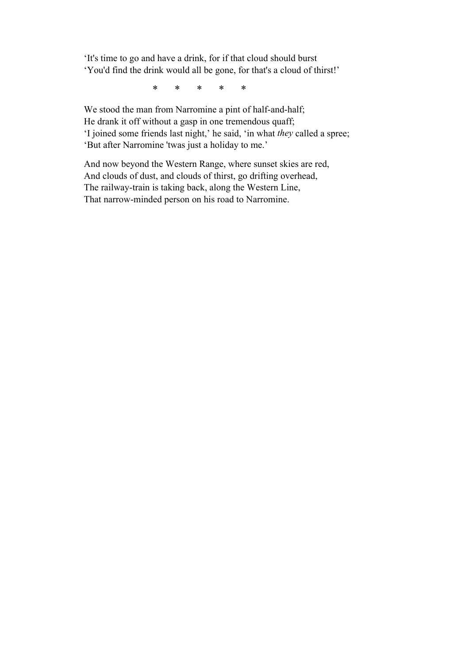'It's time to go and have a drink, for if that cloud should burst 'You'd find the drink would all be gone, for that's a cloud of thirst!'

\* \* \* \* \*

We stood the man from Narromine a pint of half-and-half; He drank it off without a gasp in one tremendous quaff; 'I joined some friends last night,' he said, 'in what *they* called a spree; 'But after Narromine 'twas just a holiday to me.'

And now beyond the Western Range, where sunset skies are red, And clouds of dust, and clouds of thirst, go drifting overhead, The railway-train is taking back, along the Western Line, That narrow-minded person on his road to Narromine.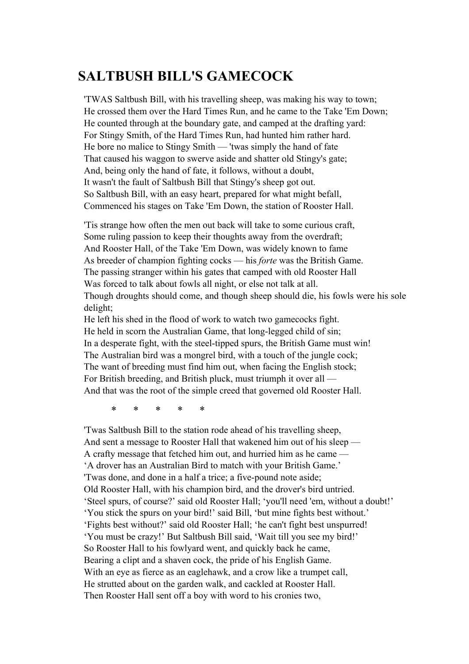## **SALTBUSH BILL'S GAMECOCK**

'TWAS Saltbush Bill, with his travelling sheep, was making his way to town; He crossed them over the Hard Times Run, and he came to the Take 'Em Down; He counted through at the boundary gate, and camped at the drafting yard: For Stingy Smith, of the Hard Times Run, had hunted him rather hard. He bore no malice to Stingy Smith — 'twas simply the hand of fate That caused his waggon to swerve aside and shatter old Stingy's gate; And, being only the hand of fate, it follows, without a doubt, It wasn't the fault of Saltbush Bill that Stingy's sheep got out. So Saltbush Bill, with an easy heart, prepared for what might befall, Commenced his stages on Take 'Em Down, the station of Rooster Hall.

'Tis strange how often the men out back will take to some curious craft, Some ruling passion to keep their thoughts away from the overdraft; And Rooster Hall, of the Take 'Em Down, was widely known to fame As breeder of champion fighting cocks — his *forte* was the British Game. The passing stranger within his gates that camped with old Rooster Hall Was forced to talk about fowls all night, or else not talk at all. Though droughts should come, and though sheep should die, his fowls were his sole delight;

He left his shed in the flood of work to watch two gamecocks fight. He held in scorn the Australian Game, that long-legged child of sin; In a desperate fight, with the steel-tipped spurs, the British Game must win! The Australian bird was a mongrel bird, with a touch of the jungle cock; The want of breeding must find him out, when facing the English stock; For British breeding, and British pluck, must triumph it over all — And that was the root of the simple creed that governed old Rooster Hall.

\* \* \* \* \*

'Twas Saltbush Bill to the station rode ahead of his travelling sheep, And sent a message to Rooster Hall that wakened him out of his sleep — A crafty message that fetched him out, and hurried him as he came — 'A drover has an Australian Bird to match with your British Game.' 'Twas done, and done in a half a trice; a five-pound note aside; Old Rooster Hall, with his champion bird, and the drover's bird untried. 'Steel spurs, of course?' said old Rooster Hall; 'you'll need 'em, without a doubt!' 'You stick the spurs on your bird!' said Bill, 'but mine fights best without.' 'Fights best without?' said old Rooster Hall; 'he can't fight best unspurred! 'You must be crazy!' But Saltbush Bill said, 'Wait till you see my bird!' So Rooster Hall to his fowlyard went, and quickly back he came, Bearing a clipt and a shaven cock, the pride of his English Game. With an eye as fierce as an eaglehawk, and a crow like a trumpet call, He strutted about on the garden walk, and cackled at Rooster Hall. Then Rooster Hall sent off a boy with word to his cronies two,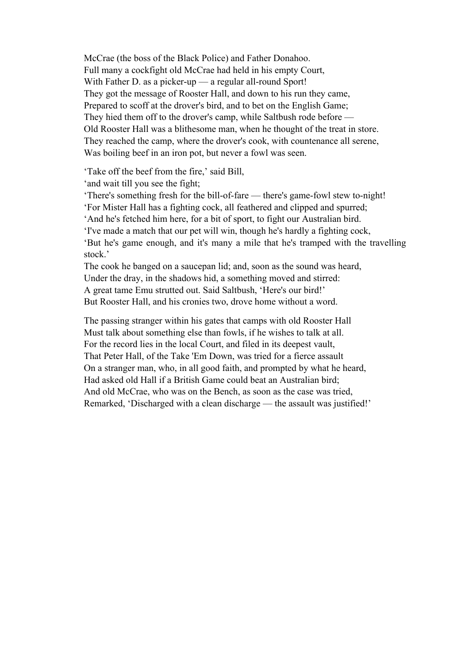McCrae (the boss of the Black Police) and Father Donahoo. Full many a cockfight old McCrae had held in his empty Court, With Father D. as a picker-up — a regular all-round Sport! They got the message of Rooster Hall, and down to his run they came, Prepared to scoff at the drover's bird, and to bet on the English Game; They hied them off to the drover's camp, while Saltbush rode before — Old Rooster Hall was a blithesome man, when he thought of the treat in store. They reached the camp, where the drover's cook, with countenance all serene, Was boiling beef in an iron pot, but never a fowl was seen.

'Take off the beef from the fire,' said Bill,

'and wait till you see the fight;

'There's something fresh for the bill-of-fare — there's game-fowl stew to-night!

'For Mister Hall has a fighting cock, all feathered and clipped and spurred;

'And he's fetched him here, for a bit of sport, to fight our Australian bird.

'I've made a match that our pet will win, though he's hardly a fighting cock,

'But he's game enough, and it's many a mile that he's tramped with the travelling stock.'

The cook he banged on a saucepan lid; and, soon as the sound was heard, Under the dray, in the shadows hid, a something moved and stirred: A great tame Emu strutted out. Said Saltbush, 'Here's our bird!' But Rooster Hall, and his cronies two, drove home without a word.

The passing stranger within his gates that camps with old Rooster Hall Must talk about something else than fowls, if he wishes to talk at all. For the record lies in the local Court, and filed in its deepest vault, That Peter Hall, of the Take 'Em Down, was tried for a fierce assault On a stranger man, who, in all good faith, and prompted by what he heard, Had asked old Hall if a British Game could beat an Australian bird; And old McCrae, who was on the Bench, as soon as the case was tried, Remarked, 'Discharged with a clean discharge — the assault was justified!'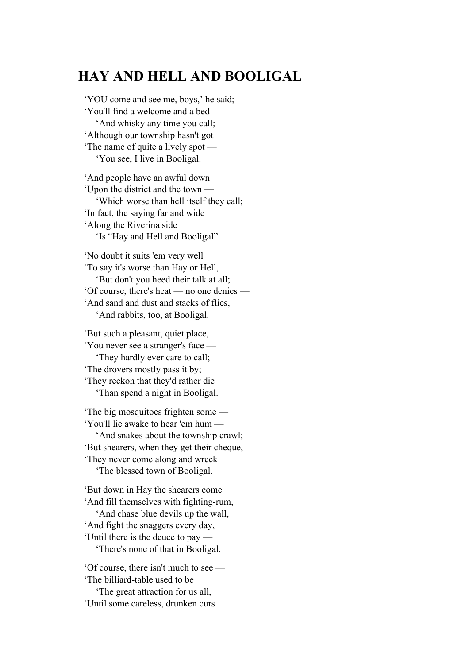## **HAY AND HELL AND BOOLIGAL**

'YOU come and see me, boys,' he said; 'You'll find a welcome and a bed 'And whisky any time you call; 'Although our township hasn't got 'The name of quite a lively spot — 'You see, I live in Booligal.

'And people have an awful down 'Upon the district and the town — 'Which worse than hell itself they call; 'In fact, the saying far and wide 'Along the Riverina side 'Is "Hay and Hell and Booligal".

'No doubt it suits 'em very well 'To say it's worse than Hay or Hell, 'But don't you heed their talk at all; 'Of course, there's heat — no one denies — 'And sand and dust and stacks of flies, 'And rabbits, too, at Booligal.

'But such a pleasant, quiet place, 'You never see a stranger's face — 'They hardly ever care to call; 'The drovers mostly pass it by; 'They reckon that they'd rather die 'Than spend a night in Booligal.

'The big mosquitoes frighten some — 'You'll lie awake to hear 'em hum — 'And snakes about the township crawl; 'But shearers, when they get their cheque, 'They never come along and wreck 'The blessed town of Booligal. 'But down in Hay the shearers come

'And fill themselves with fighting-rum, 'And chase blue devils up the wall, 'And fight the snaggers every day, 'Until there is the deuce to pay — 'There's none of that in Booligal.

'Of course, there isn't much to see — 'The billiard-table used to be 'The great attraction for us all, 'Until some careless, drunken curs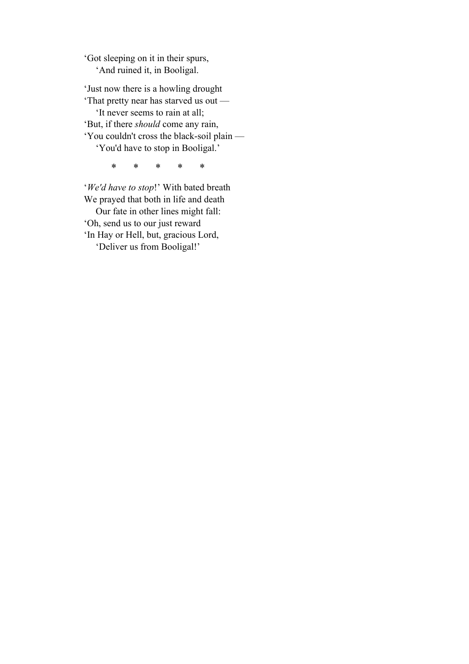'Got sleeping on it in their spurs, 'And ruined it, in Booligal.

'Just now there is a howling drought 'That pretty near has starved us out — 'It never seems to rain at all; 'But, if there *should* come any rain, 'You couldn't cross the black-soil plain — 'You'd have to stop in Booligal.'

\* \* \* \* \*

'*We'd have to stop*!' With bated breath We prayed that both in life and death Our fate in other lines might fall: 'Oh, send us to our just reward 'In Hay or Hell, but, gracious Lord, 'Deliver us from Booligal!'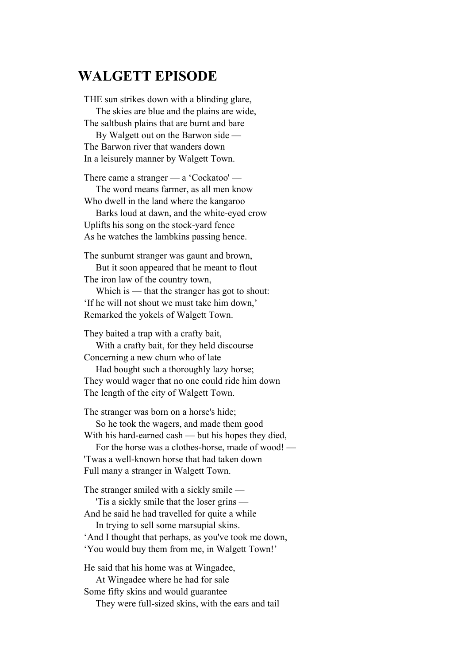#### **WALGETT EPISODE**

THE sun strikes down with a blinding glare, The skies are blue and the plains are wide, The saltbush plains that are burnt and bare

 By Walgett out on the Barwon side — The Barwon river that wanders down In a leisurely manner by Walgett Town.

There came a stranger — a 'Cockatoo' — The word means farmer, as all men know Who dwell in the land where the kangaroo

 Barks loud at dawn, and the white-eyed crow Uplifts his song on the stock-yard fence As he watches the lambkins passing hence.

The sunburnt stranger was gaunt and brown,

 But it soon appeared that he meant to flout The iron law of the country town,

Which is — that the stranger has got to shout: 'If he will not shout we must take him down,' Remarked the yokels of Walgett Town.

They baited a trap with a crafty bait, With a crafty bait, for they held discourse Concerning a new chum who of late

 Had bought such a thoroughly lazy horse; They would wager that no one could ride him down The length of the city of Walgett Town.

The stranger was born on a horse's hide;

 So he took the wagers, and made them good With his hard-earned cash — but his hopes they died,

 For the horse was a clothes-horse, made of wood! — 'Twas a well-known horse that had taken down Full many a stranger in Walgett Town.

The stranger smiled with a sickly smile —

 'Tis a sickly smile that the loser grins — And he said he had travelled for quite a while In trying to sell some marsupial skins.

'And I thought that perhaps, as you've took me down, 'You would buy them from me, in Walgett Town!'

He said that his home was at Wingadee, At Wingadee where he had for sale Some fifty skins and would guarantee They were full-sized skins, with the ears and tail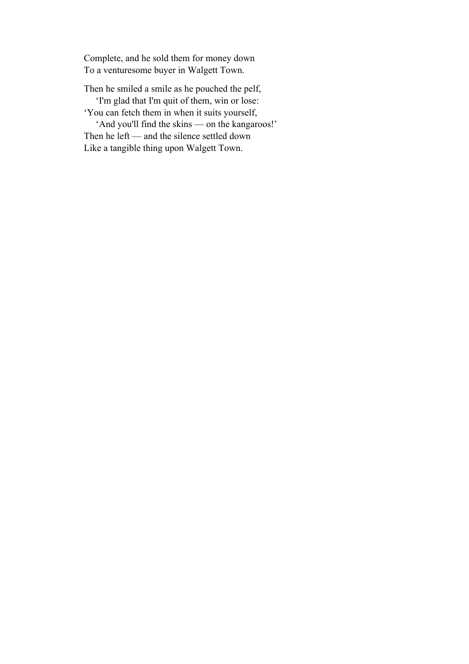Complete, and he sold them for money down To a venturesome buyer in Walgett Town.

Then he smiled a smile as he pouched the pelf,

 'I'm glad that I'm quit of them, win or lose: 'You can fetch them in when it suits yourself,

 'And you'll find the skins — on the kangaroos!' Then he left — and the silence settled down Like a tangible thing upon Walgett Town.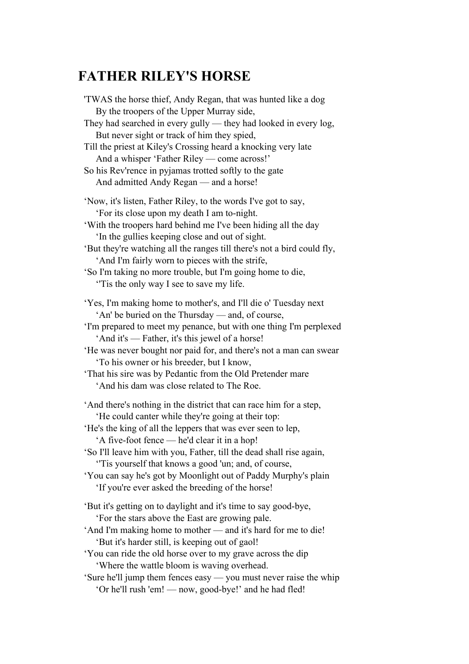## **FATHER RILEY'S HORSE**

'TWAS the horse thief, Andy Regan, that was hunted like a dog By the troopers of the Upper Murray side, They had searched in every gully — they had looked in every log, But never sight or track of him they spied, Till the priest at Kiley's Crossing heard a knocking very late And a whisper 'Father Riley — come across!' So his Rev'rence in pyjamas trotted softly to the gate And admitted Andy Regan — and a horse! 'Now, it's listen, Father Riley, to the words I've got to say, 'For its close upon my death I am to-night. 'With the troopers hard behind me I've been hiding all the day 'In the gullies keeping close and out of sight. 'But they're watching all the ranges till there's not a bird could fly, 'And I'm fairly worn to pieces with the strife, 'So I'm taking no more trouble, but I'm going home to die, ''Tis the only way I see to save my life. 'Yes, I'm making home to mother's, and I'll die o' Tuesday next 'An' be buried on the Thursday — and, of course, 'I'm prepared to meet my penance, but with one thing I'm perplexed 'And it's — Father, it's this jewel of a horse! 'He was never bought nor paid for, and there's not a man can swear 'To his owner or his breeder, but I know, 'That his sire was by Pedantic from the Old Pretender mare 'And his dam was close related to The Roe. 'And there's nothing in the district that can race him for a step, 'He could canter while they're going at their top: 'He's the king of all the leppers that was ever seen to lep, 'A five-foot fence — he'd clear it in a hop! 'So I'll leave him with you, Father, till the dead shall rise again, ''Tis yourself that knows a good 'un; and, of course, 'You can say he's got by Moonlight out of Paddy Murphy's plain 'If you're ever asked the breeding of the horse! 'But it's getting on to daylight and it's time to say good-bye, 'For the stars above the East are growing pale. 'And I'm making home to mother — and it's hard for me to die! 'But it's harder still, is keeping out of gaol! 'You can ride the old horse over to my grave across the dip 'Where the wattle bloom is waving overhead. 'Sure he'll jump them fences easy — you must never raise the whip 'Or he'll rush 'em! — now, good-bye!' and he had fled!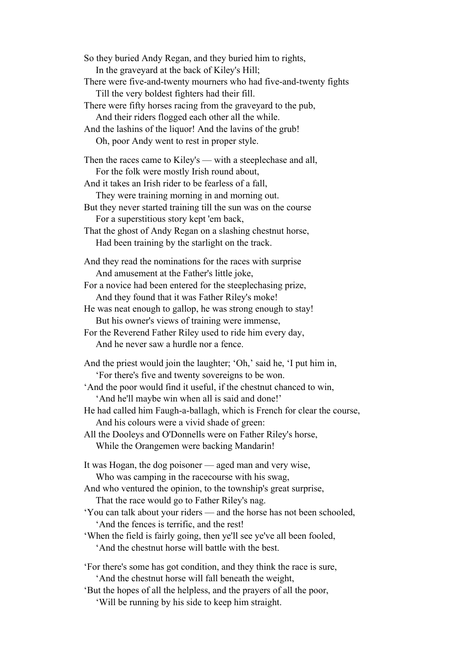So they buried Andy Regan, and they buried him to rights, In the graveyard at the back of Kiley's Hill; There were five-and-twenty mourners who had five-and-twenty fights Till the very boldest fighters had their fill. There were fifty horses racing from the graveyard to the pub, And their riders flogged each other all the while. And the lashins of the liquor! And the lavins of the grub! Oh, poor Andy went to rest in proper style. Then the races came to Kiley's — with a steeplechase and all, For the folk were mostly Irish round about, And it takes an Irish rider to be fearless of a fall, They were training morning in and morning out. But they never started training till the sun was on the course For a superstitious story kept 'em back, That the ghost of Andy Regan on a slashing chestnut horse, Had been training by the starlight on the track. And they read the nominations for the races with surprise And amusement at the Father's little joke, For a novice had been entered for the steeplechasing prize, And they found that it was Father Riley's moke! He was neat enough to gallop, he was strong enough to stay! But his owner's views of training were immense, For the Reverend Father Riley used to ride him every day, And he never saw a hurdle nor a fence. And the priest would join the laughter; 'Oh,' said he, 'I put him in, 'For there's five and twenty sovereigns to be won. 'And the poor would find it useful, if the chestnut chanced to win, 'And he'll maybe win when all is said and done!' He had called him Faugh-a-ballagh, which is French for clear the course, And his colours were a vivid shade of green: All the Dooleys and O'Donnells were on Father Riley's horse, While the Orangemen were backing Mandarin! It was Hogan, the dog poisoner — aged man and very wise, Who was camping in the racecourse with his swag, And who ventured the opinion, to the township's great surprise, That the race would go to Father Riley's nag. 'You can talk about your riders — and the horse has not been schooled, 'And the fences is terrific, and the rest! 'When the field is fairly going, then ye'll see ye've all been fooled, 'And the chestnut horse will battle with the best. 'For there's some has got condition, and they think the race is sure, 'And the chestnut horse will fall beneath the weight, 'But the hopes of all the helpless, and the prayers of all the poor, 'Will be running by his side to keep him straight.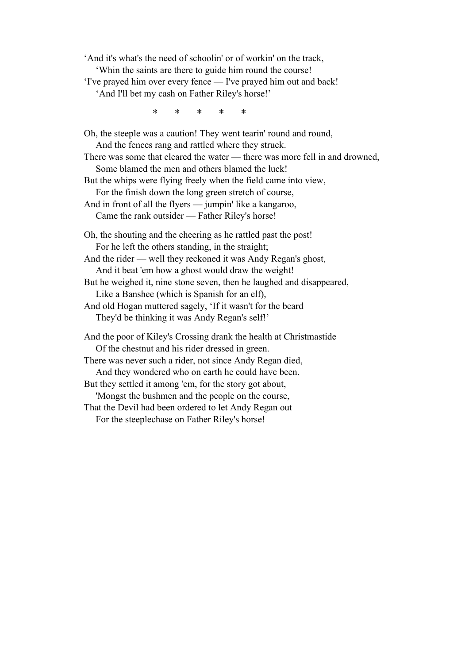'And it's what's the need of schoolin' or of workin' on the track, 'Whin the saints are there to guide him round the course! 'I've prayed him over every fence — I've prayed him out and back!

'And I'll bet my cash on Father Riley's horse!'

\* \* \* \* \*

Oh, the steeple was a caution! They went tearin' round and round, And the fences rang and rattled where they struck. There was some that cleared the water — there was more fell in and drowned, Some blamed the men and others blamed the luck! But the whips were flying freely when the field came into view, For the finish down the long green stretch of course, And in front of all the flyers — jumpin' like a kangaroo, Came the rank outsider — Father Riley's horse! Oh, the shouting and the cheering as he rattled past the post! For he left the others standing, in the straight; And the rider — well they reckoned it was Andy Regan's ghost, And it beat 'em how a ghost would draw the weight! But he weighed it, nine stone seven, then he laughed and disappeared, Like a Banshee (which is Spanish for an elf), And old Hogan muttered sagely, 'If it wasn't for the beard They'd be thinking it was Andy Regan's self!' And the poor of Kiley's Crossing drank the health at Christmastide Of the chestnut and his rider dressed in green. There was never such a rider, not since Andy Regan died, And they wondered who on earth he could have been. But they settled it among 'em, for the story got about, 'Mongst the bushmen and the people on the course, That the Devil had been ordered to let Andy Regan out For the steeplechase on Father Riley's horse!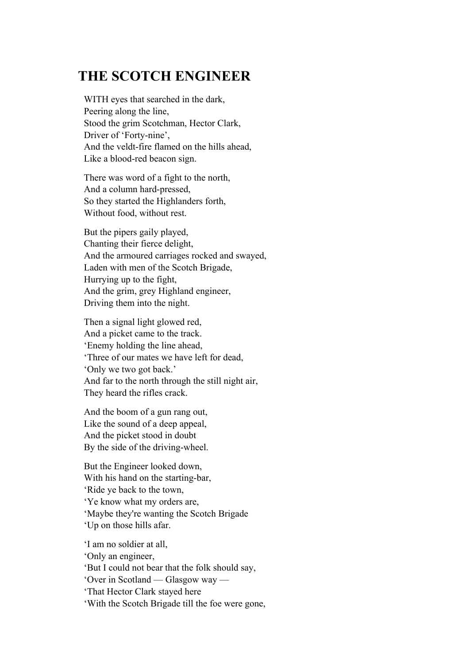## **THE SCOTCH ENGINEER**

WITH eyes that searched in the dark, Peering along the line, Stood the grim Scotchman, Hector Clark, Driver of 'Forty-nine', And the veldt-fire flamed on the hills ahead, Like a blood-red beacon sign.

There was word of a fight to the north, And a column hard-pressed, So they started the Highlanders forth, Without food, without rest.

But the pipers gaily played, Chanting their fierce delight, And the armoured carriages rocked and swayed, Laden with men of the Scotch Brigade, Hurrying up to the fight, And the grim, grey Highland engineer, Driving them into the night.

Then a signal light glowed red, And a picket came to the track. 'Enemy holding the line ahead, 'Three of our mates we have left for dead, 'Only we two got back.' And far to the north through the still night air, They heard the rifles crack.

And the boom of a gun rang out, Like the sound of a deep appeal, And the picket stood in doubt By the side of the driving-wheel.

But the Engineer looked down, With his hand on the starting-bar, 'Ride ye back to the town, 'Ye know what my orders are, 'Maybe they're wanting the Scotch Brigade 'Up on those hills afar.

'I am no soldier at all, 'Only an engineer,

'But I could not bear that the folk should say,

'Over in Scotland — Glasgow way —

'That Hector Clark stayed here

'With the Scotch Brigade till the foe were gone,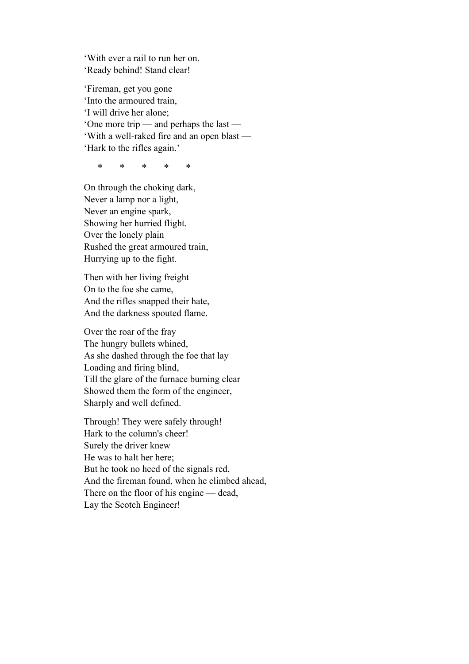'With ever a rail to run her on. 'Ready behind! Stand clear!

'Fireman, get you gone 'Into the armoured train, 'I will drive her alone; 'One more trip — and perhaps the last — 'With a well-raked fire and an open blast — 'Hark to the rifles again.'

\* \* \* \* \*

On through the choking dark, Never a lamp nor a light, Never an engine spark, Showing her hurried flight. Over the lonely plain Rushed the great armoured train, Hurrying up to the fight.

Then with her living freight On to the foe she came, And the rifles snapped their hate, And the darkness spouted flame.

Over the roar of the fray The hungry bullets whined, As she dashed through the foe that lay Loading and firing blind, Till the glare of the furnace burning clear Showed them the form of the engineer, Sharply and well defined.

Through! They were safely through! Hark to the column's cheer! Surely the driver knew He was to halt her here; But he took no heed of the signals red, And the fireman found, when he climbed ahead, There on the floor of his engine — dead, Lay the Scotch Engineer!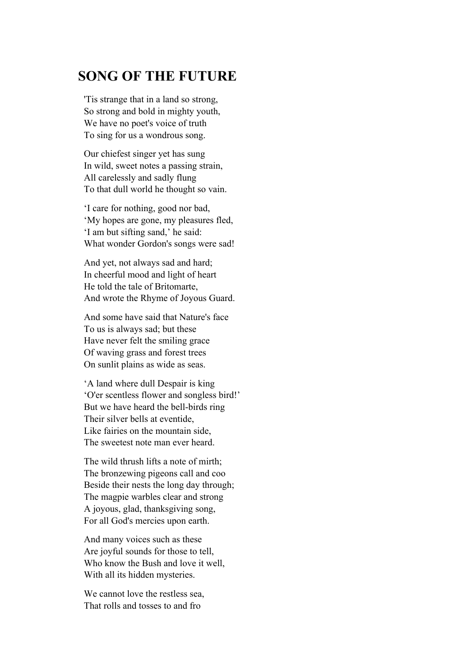### **SONG OF THE FUTURE**

'Tis strange that in a land so strong, So strong and bold in mighty youth, We have no poet's voice of truth To sing for us a wondrous song.

Our chiefest singer yet has sung In wild, sweet notes a passing strain, All carelessly and sadly flung To that dull world he thought so vain.

'I care for nothing, good nor bad, 'My hopes are gone, my pleasures fled, 'I am but sifting sand,' he said: What wonder Gordon's songs were sad!

And yet, not always sad and hard; In cheerful mood and light of heart He told the tale of Britomarte, And wrote the Rhyme of Joyous Guard.

And some have said that Nature's face To us is always sad; but these Have never felt the smiling grace Of waving grass and forest trees On sunlit plains as wide as seas.

'A land where dull Despair is king 'O'er scentless flower and songless bird!' But we have heard the bell-birds ring Their silver bells at eventide, Like fairies on the mountain side, The sweetest note man ever heard.

The wild thrush lifts a note of mirth; The bronzewing pigeons call and coo Beside their nests the long day through; The magpie warbles clear and strong A joyous, glad, thanksgiving song, For all God's mercies upon earth.

And many voices such as these Are joyful sounds for those to tell, Who know the Bush and love it well, With all its hidden mysteries.

We cannot love the restless sea, That rolls and tosses to and fro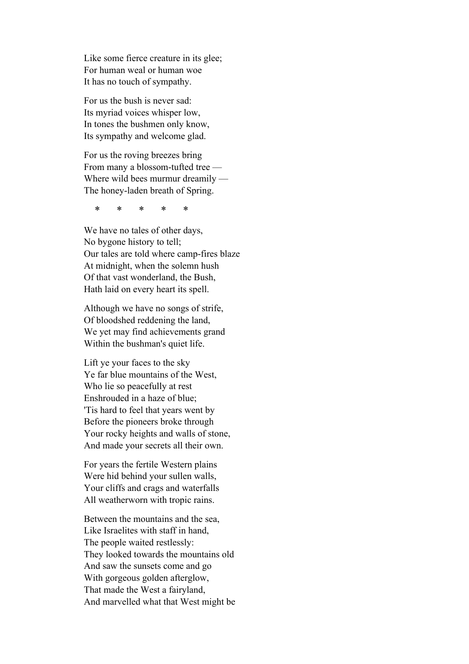Like some fierce creature in its glee; For human weal or human woe It has no touch of sympathy.

For us the bush is never sad: Its myriad voices whisper low, In tones the bushmen only know, Its sympathy and welcome glad.

For us the roving breezes bring From many a blossom-tufted tree — Where wild bees murmur dreamily — The honey-laden breath of Spring.

\* \* \* \* \*

We have no tales of other days, No bygone history to tell; Our tales are told where camp-fires blaze At midnight, when the solemn hush Of that vast wonderland, the Bush, Hath laid on every heart its spell.

Although we have no songs of strife, Of bloodshed reddening the land, We yet may find achievements grand Within the bushman's quiet life.

Lift ye your faces to the sky Ye far blue mountains of the West, Who lie so peacefully at rest Enshrouded in a haze of blue; 'Tis hard to feel that years went by Before the pioneers broke through Your rocky heights and walls of stone, And made your secrets all their own.

For years the fertile Western plains Were hid behind your sullen walls, Your cliffs and crags and waterfalls All weatherworn with tropic rains.

Between the mountains and the sea, Like Israelites with staff in hand, The people waited restlessly: They looked towards the mountains old And saw the sunsets come and go With gorgeous golden afterglow, That made the West a fairyland, And marvelled what that West might be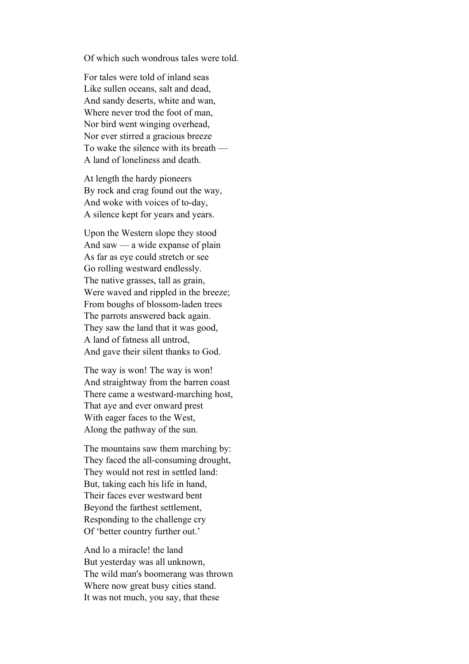Of which such wondrous tales were told.

For tales were told of inland seas Like sullen oceans, salt and dead, And sandy deserts, white and wan, Where never trod the foot of man, Nor bird went winging overhead, Nor ever stirred a gracious breeze To wake the silence with its breath — A land of loneliness and death.

At length the hardy pioneers By rock and crag found out the way, And woke with voices of to-day, A silence kept for years and years.

Upon the Western slope they stood And saw — a wide expanse of plain As far as eye could stretch or see Go rolling westward endlessly. The native grasses, tall as grain, Were waved and rippled in the breeze; From boughs of blossom-laden trees The parrots answered back again. They saw the land that it was good, A land of fatness all untrod, And gave their silent thanks to God.

The way is won! The way is won! And straightway from the barren coast There came a westward-marching host, That aye and ever onward prest With eager faces to the West, Along the pathway of the sun.

The mountains saw them marching by: They faced the all-consuming drought, They would not rest in settled land: But, taking each his life in hand, Their faces ever westward bent Beyond the farthest settlement, Responding to the challenge cry Of 'better country further out.'

And lo a miracle! the land But yesterday was all unknown, The wild man's boomerang was thrown Where now great busy cities stand. It was not much, you say, that these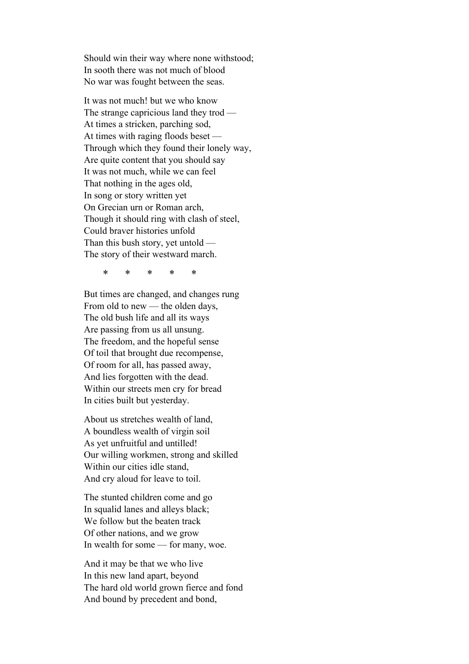Should win their way where none withstood; In sooth there was not much of blood No war was fought between the seas.

It was not much! but we who know The strange capricious land they trod — At times a stricken, parching sod, At times with raging floods beset — Through which they found their lonely way, Are quite content that you should say It was not much, while we can feel That nothing in the ages old, In song or story written yet On Grecian urn or Roman arch, Though it should ring with clash of steel, Could braver histories unfold Than this bush story, yet untold — The story of their westward march.

\* \* \* \* \*

But times are changed, and changes rung From old to new — the olden days, The old bush life and all its ways Are passing from us all unsung. The freedom, and the hopeful sense Of toil that brought due recompense, Of room for all, has passed away, And lies forgotten with the dead. Within our streets men cry for bread In cities built but yesterday.

About us stretches wealth of land, A boundless wealth of virgin soil As yet unfruitful and untilled! Our willing workmen, strong and skilled Within our cities idle stand, And cry aloud for leave to toil.

The stunted children come and go In squalid lanes and alleys black; We follow but the beaten track Of other nations, and we grow In wealth for some — for many, woe.

And it may be that we who live In this new land apart, beyond The hard old world grown fierce and fond And bound by precedent and bond,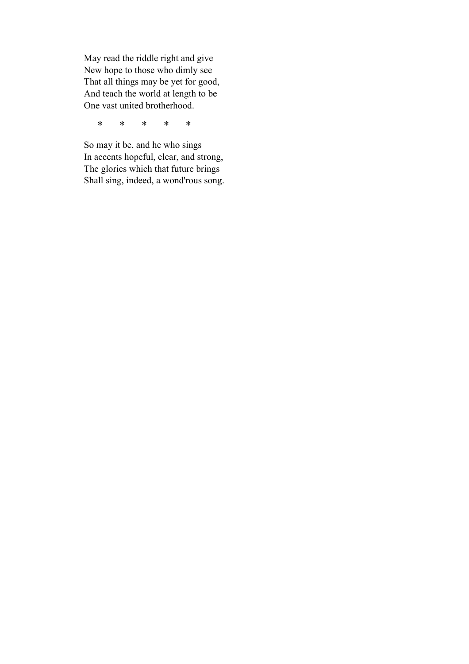May read the riddle right and give New hope to those who dimly see That all things may be yet for good, And teach the world at length to be One vast united brotherhood.

\* \* \* \* \*

So may it be, and he who sings In accents hopeful, clear, and strong, The glories which that future brings Shall sing, indeed, a wond'rous song.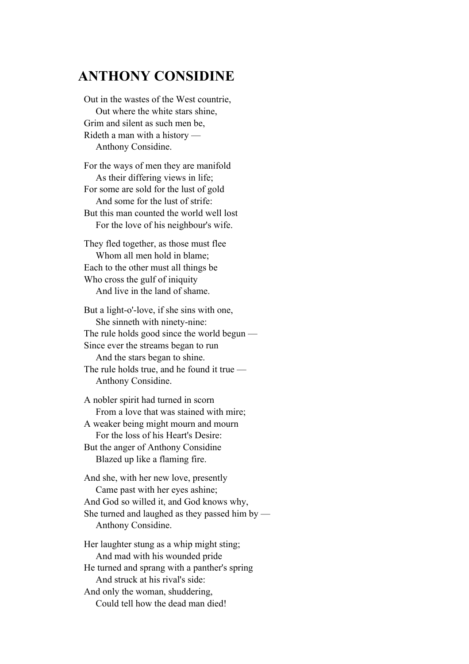### **ANTHONY CONSIDINE**

Out in the wastes of the West countrie, Out where the white stars shine, Grim and silent as such men be, Rideth a man with a history — Anthony Considine.

For the ways of men they are manifold As their differing views in life; For some are sold for the lust of gold And some for the lust of strife: But this man counted the world well lost For the love of his neighbour's wife.

They fled together, as those must flee Whom all men hold in blame; Each to the other must all things be Who cross the gulf of iniquity And live in the land of shame.

But a light-o'-love, if she sins with one, She sinneth with ninety-nine: The rule holds good since the world begun — Since ever the streams began to run And the stars began to shine. The rule holds true, and he found it true — Anthony Considine.

A nobler spirit had turned in scorn From a love that was stained with mire; A weaker being might mourn and mourn For the loss of his Heart's Desire: But the anger of Anthony Considine Blazed up like a flaming fire.

And she, with her new love, presently Came past with her eyes ashine; And God so willed it, and God knows why, She turned and laughed as they passed him by — Anthony Considine.

Her laughter stung as a whip might sting; And mad with his wounded pride He turned and sprang with a panther's spring And struck at his rival's side: And only the woman, shuddering, Could tell how the dead man died!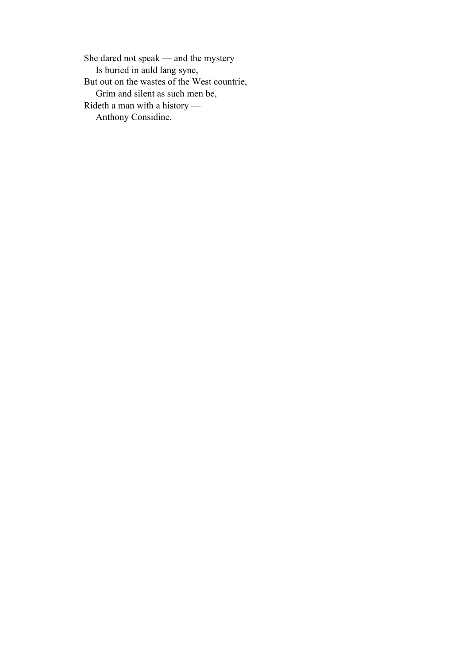She dared not speak — and the mystery Is buried in auld lang syne, But out on the wastes of the West countrie, Grim and silent as such men be, Rideth a man with a history — Anthony Considine.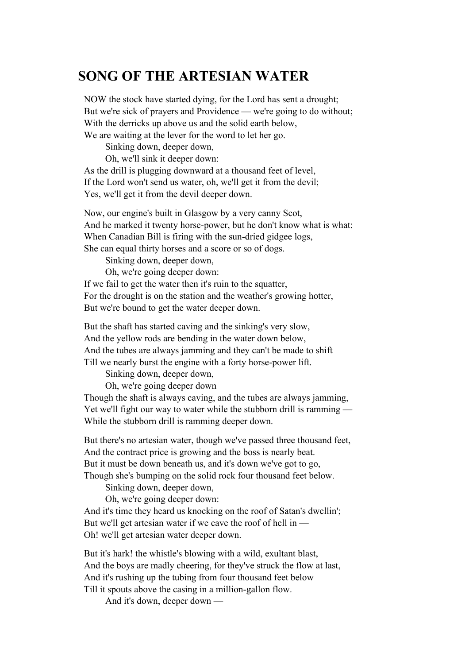### **SONG OF THE ARTESIAN WATER**

NOW the stock have started dying, for the Lord has sent a drought; But we're sick of prayers and Providence — we're going to do without; With the derricks up above us and the solid earth below, We are waiting at the lever for the word to let her go.

Sinking down, deeper down,

Oh, we'll sink it deeper down:

As the drill is plugging downward at a thousand feet of level, If the Lord won't send us water, oh, we'll get it from the devil; Yes, we'll get it from the devil deeper down.

Now, our engine's built in Glasgow by a very canny Scot, And he marked it twenty horse-power, but he don't know what is what: When Canadian Bill is firing with the sun-dried gidgee logs, She can equal thirty horses and a score or so of dogs.

Sinking down, deeper down,

Oh, we're going deeper down:

If we fail to get the water then it's ruin to the squatter, For the drought is on the station and the weather's growing hotter, But we're bound to get the water deeper down.

But the shaft has started caving and the sinking's very slow, And the yellow rods are bending in the water down below, And the tubes are always jamming and they can't be made to shift Till we nearly burst the engine with a forty horse-power lift.

Sinking down, deeper down,

Oh, we're going deeper down

Though the shaft is always caving, and the tubes are always jamming, Yet we'll fight our way to water while the stubborn drill is ramming — While the stubborn drill is ramming deeper down.

But there's no artesian water, though we've passed three thousand feet, And the contract price is growing and the boss is nearly beat. But it must be down beneath us, and it's down we've got to go, Though she's bumping on the solid rock four thousand feet below.

Sinking down, deeper down,

Oh, we're going deeper down:

And it's time they heard us knocking on the roof of Satan's dwellin'; But we'll get artesian water if we cave the roof of hell in — Oh! we'll get artesian water deeper down.

But it's hark! the whistle's blowing with a wild, exultant blast, And the boys are madly cheering, for they've struck the flow at last, And it's rushing up the tubing from four thousand feet below Till it spouts above the casing in a million-gallon flow.

And it's down, deeper down —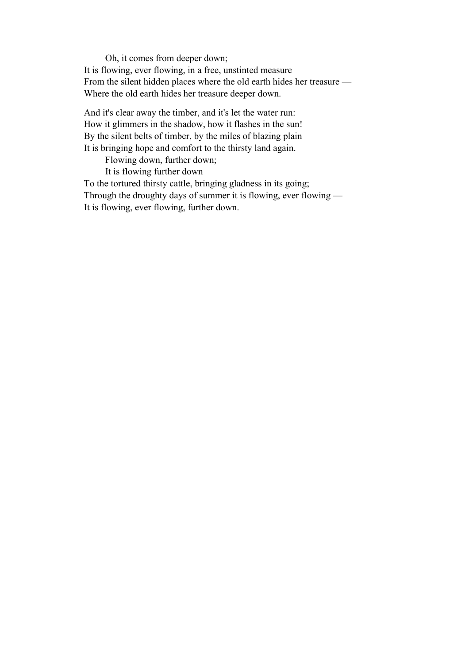Oh, it comes from deeper down; It is flowing, ever flowing, in a free, unstinted measure From the silent hidden places where the old earth hides her treasure — Where the old earth hides her treasure deeper down.

And it's clear away the timber, and it's let the water run: How it glimmers in the shadow, how it flashes in the sun! By the silent belts of timber, by the miles of blazing plain It is bringing hope and comfort to the thirsty land again.

Flowing down, further down;

It is flowing further down

To the tortured thirsty cattle, bringing gladness in its going; Through the droughty days of summer it is flowing, ever flowing — It is flowing, ever flowing, further down.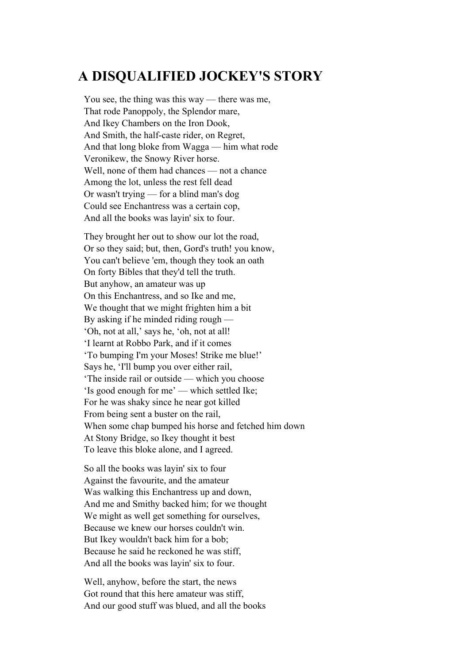## **A DISQUALIFIED JOCKEY'S STORY**

You see, the thing was this way — there was me, That rode Panoppoly, the Splendor mare, And Ikey Chambers on the Iron Dook, And Smith, the half-caste rider, on Regret, And that long bloke from Wagga — him what rode Veronikew, the Snowy River horse. Well, none of them had chances — not a chance Among the lot, unless the rest fell dead Or wasn't trying — for a blind man's dog Could see Enchantress was a certain cop, And all the books was layin' six to four.

They brought her out to show our lot the road, Or so they said; but, then, Gord's truth! you know, You can't believe 'em, though they took an oath On forty Bibles that they'd tell the truth. But anyhow, an amateur was up On this Enchantress, and so Ike and me, We thought that we might frighten him a bit By asking if he minded riding rough — 'Oh, not at all,' says he, 'oh, not at all! 'I learnt at Robbo Park, and if it comes 'To bumping I'm your Moses! Strike me blue!' Says he, 'I'll bump you over either rail, 'The inside rail or outside — which you choose 'Is good enough for me' — which settled Ike; For he was shaky since he near got killed From being sent a buster on the rail, When some chap bumped his horse and fetched him down At Stony Bridge, so Ikey thought it best To leave this bloke alone, and I agreed.

So all the books was layin' six to four Against the favourite, and the amateur Was walking this Enchantress up and down, And me and Smithy backed him; for we thought We might as well get something for ourselves, Because we knew our horses couldn't win. But Ikey wouldn't back him for a bob; Because he said he reckoned he was stiff, And all the books was layin' six to four.

Well, anyhow, before the start, the news Got round that this here amateur was stiff, And our good stuff was blued, and all the books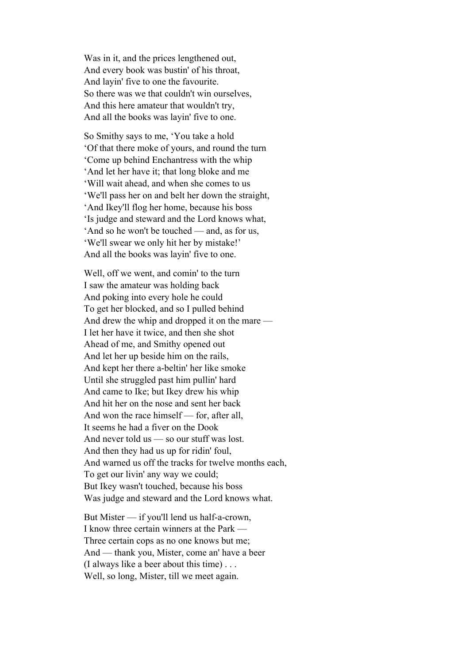Was in it, and the prices lengthened out, And every book was bustin' of his throat, And layin' five to one the favourite. So there was we that couldn't win ourselves, And this here amateur that wouldn't try, And all the books was layin' five to one.

So Smithy says to me, 'You take a hold 'Of that there moke of yours, and round the turn 'Come up behind Enchantress with the whip 'And let her have it; that long bloke and me 'Will wait ahead, and when she comes to us 'We'll pass her on and belt her down the straight, 'And Ikey'll flog her home, because his boss 'Is judge and steward and the Lord knows what, 'And so he won't be touched — and, as for us, 'We'll swear we only hit her by mistake!' And all the books was layin' five to one.

Well, off we went, and comin' to the turn I saw the amateur was holding back And poking into every hole he could To get her blocked, and so I pulled behind And drew the whip and dropped it on the mare — I let her have it twice, and then she shot Ahead of me, and Smithy opened out And let her up beside him on the rails, And kept her there a-beltin' her like smoke Until she struggled past him pullin' hard And came to Ike; but Ikey drew his whip And hit her on the nose and sent her back And won the race himself — for, after all, It seems he had a fiver on the Dook And never told us — so our stuff was lost. And then they had us up for ridin' foul, And warned us off the tracks for twelve months each, To get our livin' any way we could; But Ikey wasn't touched, because his boss Was judge and steward and the Lord knows what.

But Mister — if you'll lend us half-a-crown, I know three certain winners at the Park — Three certain cops as no one knows but me; And — thank you, Mister, come an' have a beer (I always like a beer about this time) . . . Well, so long, Mister, till we meet again.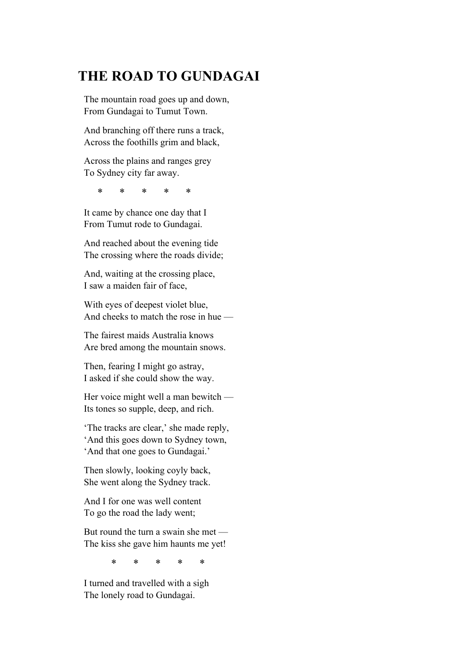# **THE ROAD TO GUNDAGAI**

The mountain road goes up and down, From Gundagai to Tumut Town.

And branching off there runs a track, Across the foothills grim and black,

Across the plains and ranges grey To Sydney city far away.

\* \* \* \* \*

It came by chance one day that I From Tumut rode to Gundagai.

And reached about the evening tide The crossing where the roads divide;

And, waiting at the crossing place, I saw a maiden fair of face,

With eyes of deepest violet blue, And cheeks to match the rose in hue —

The fairest maids Australia knows Are bred among the mountain snows.

Then, fearing I might go astray, I asked if she could show the way.

Her voice might well a man bewitch — Its tones so supple, deep, and rich.

'The tracks are clear,' she made reply, 'And this goes down to Sydney town, 'And that one goes to Gundagai.'

Then slowly, looking coyly back, She went along the Sydney track.

And I for one was well content To go the road the lady went;

But round the turn a swain she met — The kiss she gave him haunts me yet!

\* \* \* \* \*

I turned and travelled with a sigh The lonely road to Gundagai.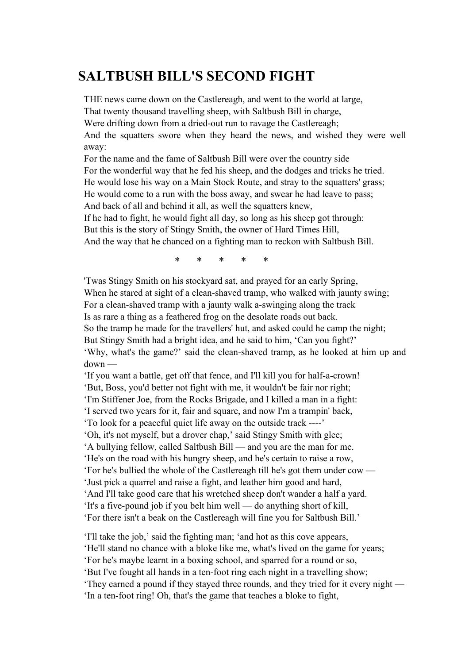## **SALTBUSH BILL'S SECOND FIGHT**

THE news came down on the Castlereagh, and went to the world at large,

That twenty thousand travelling sheep, with Saltbush Bill in charge,

Were drifting down from a dried-out run to ravage the Castlereagh;

And the squatters swore when they heard the news, and wished they were well away:

For the name and the fame of Saltbush Bill were over the country side For the wonderful way that he fed his sheep, and the dodges and tricks he tried. He would lose his way on a Main Stock Route, and stray to the squatters' grass; He would come to a run with the boss away, and swear he had leave to pass; And back of all and behind it all, as well the squatters knew,

If he had to fight, he would fight all day, so long as his sheep got through: But this is the story of Stingy Smith, the owner of Hard Times Hill,

And the way that he chanced on a fighting man to reckon with Saltbush Bill.

\* \* \* \* \*

'Twas Stingy Smith on his stockyard sat, and prayed for an early Spring, When he stared at sight of a clean-shaved tramp, who walked with jaunty swing; For a clean-shaved tramp with a jaunty walk a-swinging along the track Is as rare a thing as a feathered frog on the desolate roads out back. So the tramp he made for the travellers' hut, and asked could he camp the night; But Stingy Smith had a bright idea, and he said to him, 'Can you fight?' 'Why, what's the game?' said the clean-shaved tramp, as he looked at him up and down —

'If you want a battle, get off that fence, and I'll kill you for half-a-crown! 'But, Boss, you'd better not fight with me, it wouldn't be fair nor right; 'I'm Stiffener Joe, from the Rocks Brigade, and I killed a man in a fight: 'I served two years for it, fair and square, and now I'm a trampin' back, 'To look for a peaceful quiet life away on the outside track ----' 'Oh, it's not myself, but a drover chap,' said Stingy Smith with glee; 'A bullying fellow, called Saltbush Bill — and you are the man for me. 'He's on the road with his hungry sheep, and he's certain to raise a row, 'For he's bullied the whole of the Castlereagh till he's got them under cow — 'Just pick a quarrel and raise a fight, and leather him good and hard, 'And I'll take good care that his wretched sheep don't wander a half a yard. 'It's a five-pound job if you belt him well — do anything short of kill, 'For there isn't a beak on the Castlereagh will fine you for Saltbush Bill.'

'I'll take the job,' said the fighting man; 'and hot as this cove appears, 'He'll stand no chance with a bloke like me, what's lived on the game for years; 'For he's maybe learnt in a boxing school, and sparred for a round or so, 'But I've fought all hands in a ten-foot ring each night in a travelling show; 'They earned a pound if they stayed three rounds, and they tried for it every night — 'In a ten-foot ring! Oh, that's the game that teaches a bloke to fight,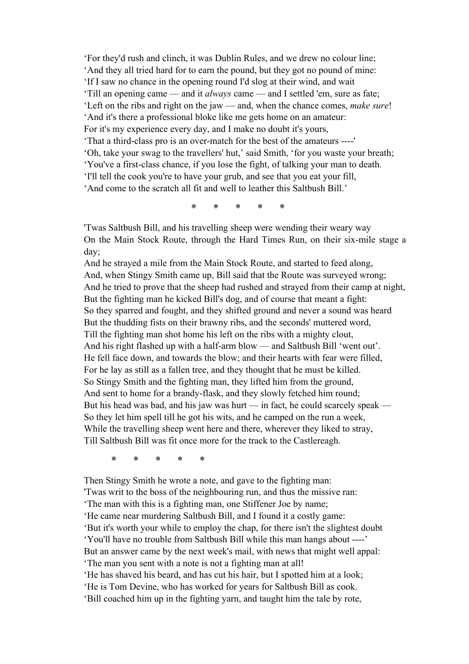'For they'd rush and clinch, it was Dublin Rules, and we drew no colour line; 'And they all tried hard for to earn the pound, but they got no pound of mine: 'If I saw no chance in the opening round I'd slog at their wind, and wait 'Till an opening came — and it *always* came — and I settled 'em, sure as fate; 'Left on the ribs and right on the jaw — and, when the chance comes, *make sure*! 'And it's there a professional bloke like me gets home on an amateur: For it's my experience every day, and I make no doubt it's yours, 'That a third-class pro is an over-match for the best of the amateurs ----' 'Oh, take your swag to the travellers' hut,' said Smith, 'for you waste your breath; 'You've a first-class chance, if you lose the fight, of talking your man to death. 'I'll tell the cook you're to have your grub, and see that you eat your fill, 'And come to the scratch all fit and well to leather this Saltbush Bill.'

\* \* \* \* \*

'Twas Saltbush Bill, and his travelling sheep were wending their weary way On the Main Stock Route, through the Hard Times Run, on their six-mile stage a day;

And he strayed a mile from the Main Stock Route, and started to feed along, And, when Stingy Smith came up, Bill said that the Route was surveyed wrong; And he tried to prove that the sheep had rushed and strayed from their camp at night, But the fighting man he kicked Bill's dog, and of course that meant a fight: So they sparred and fought, and they shifted ground and never a sound was heard But the thudding fists on their brawny ribs, and the seconds' muttered word, Till the fighting man shot home his left on the ribs with a mighty clout, And his right flashed up with a half-arm blow — and Saltbush Bill 'went out'. He fell face down, and towards the blow; and their hearts with fear were filled, For he lay as still as a fallen tree, and they thought that he must be killed. So Stingy Smith and the fighting man, they lifted him from the ground, And sent to home for a brandy-flask, and they slowly fetched him round; But his head was bad, and his jaw was hurt — in fact, he could scarcely speak — So they let him spell till he got his wits, and he camped on the run a week, While the travelling sheep went here and there, wherever they liked to stray, Till Saltbush Bill was fit once more for the track to the Castlereagh.

\* \* \* \* \*

Then Stingy Smith he wrote a note, and gave to the fighting man: 'Twas writ to the boss of the neighbouring run, and thus the missive ran: 'The man with this is a fighting man, one Stiffener Joe by name; 'He came near murdering Saltbush Bill, and I found it a costly game: 'But it's worth your while to employ the chap, for there isn't the slightest doubt 'You'll have no trouble from Saltbush Bill while this man hangs about ----' But an answer came by the next week's mail, with news that might well appal: 'The man you sent with a note is not a fighting man at all! 'He has shaved his beard, and has cut his hair, but I spotted him at a look; 'He is Tom Devine, who has worked for years for Saltbush Bill as cook. 'Bill coached him up in the fighting yarn, and taught him the tale by rote,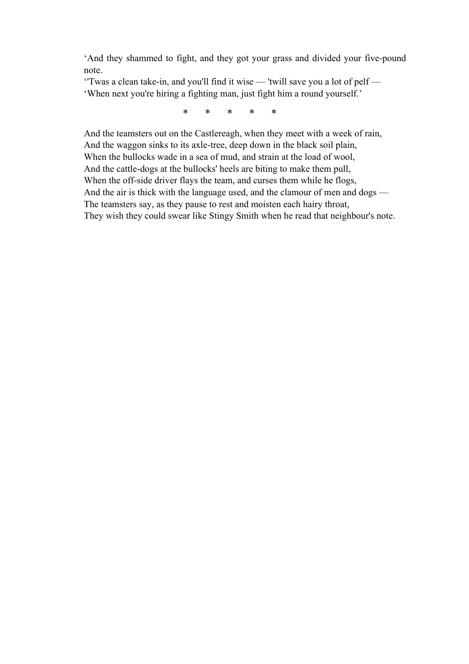'And they shammed to fight, and they got your grass and divided your five-pound note.

''Twas a clean take-in, and you'll find it wise — 'twill save you a lot of pelf — 'When next you're hiring a fighting man, just fight him a round yourself.'

\* \* \* \* \*

And the teamsters out on the Castlereagh, when they meet with a week of rain, And the waggon sinks to its axle-tree, deep down in the black soil plain, When the bullocks wade in a sea of mud, and strain at the load of wool, And the cattle-dogs at the bullocks' heels are biting to make them pull, When the off-side driver flays the team, and curses them while he flogs, And the air is thick with the language used, and the clamour of men and dogs — The teamsters say, as they pause to rest and moisten each hairy throat, They wish they could swear like Stingy Smith when he read that neighbour's note.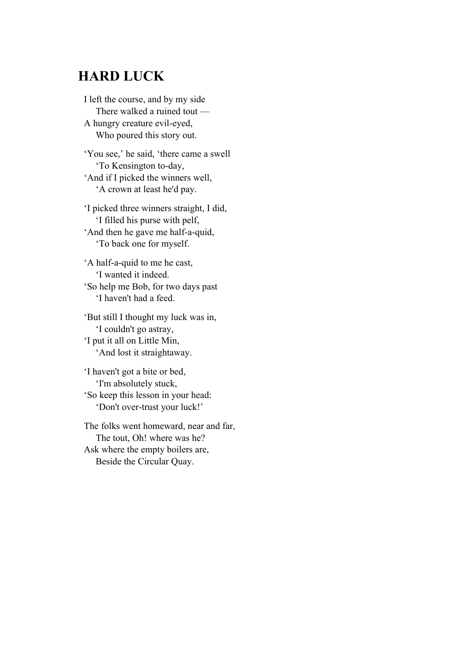## **HARD LUCK**

I left the course, and by my side There walked a ruined tout — A hungry creature evil-eyed, Who poured this story out.

'You see,' he said, 'there came a swell 'To Kensington to-day, 'And if I picked the winners well, 'A crown at least he'd pay.

'I picked three winners straight, I did, 'I filled his purse with pelf, 'And then he gave me half-a-quid, 'To back one for myself.

'A half-a-quid to me he cast, 'I wanted it indeed. 'So help me Bob, for two days past 'I haven't had a feed.

'But still I thought my luck was in, 'I couldn't go astray, 'I put it all on Little Min, 'And lost it straightaway.

'I haven't got a bite or bed, 'I'm absolutely stuck, 'So keep this lesson in your head: 'Don't over-trust your luck!'

The folks went homeward, near and far, The tout, Oh! where was he? Ask where the empty boilers are, Beside the Circular Quay.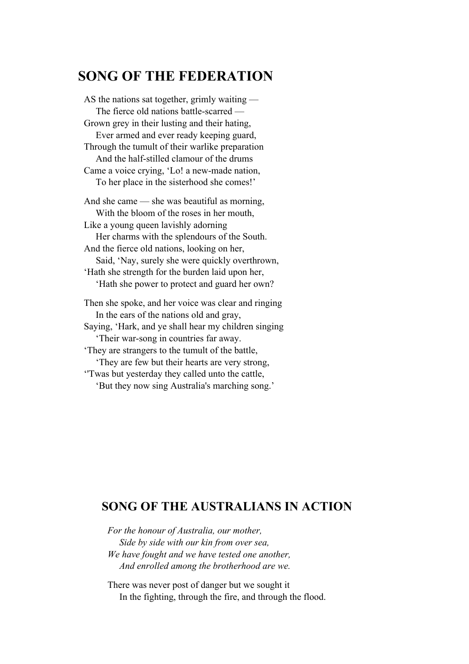### **SONG OF THE FEDERATION**

AS the nations sat together, grimly waiting — The fierce old nations battle-scarred — Grown grey in their lusting and their hating, Ever armed and ever ready keeping guard, Through the tumult of their warlike preparation And the half-stilled clamour of the drums Came a voice crying, 'Lo! a new-made nation, To her place in the sisterhood she comes!' And she came — she was beautiful as morning, With the bloom of the roses in her mouth, Like a young queen lavishly adorning Her charms with the splendours of the South. And the fierce old nations, looking on her, Said, 'Nay, surely she were quickly overthrown, 'Hath she strength for the burden laid upon her, 'Hath she power to protect and guard her own? Then she spoke, and her voice was clear and ringing In the ears of the nations old and gray, Saying, 'Hark, and ye shall hear my children singing 'Their war-song in countries far away. 'They are strangers to the tumult of the battle, 'They are few but their hearts are very strong,

''Twas but yesterday they called unto the cattle, 'But they now sing Australia's marching song.'

#### **SONG OF THE AUSTRALIANS IN ACTION**

*For the honour of Australia, our mother, Side by side with our kin from over sea, We have fought and we have tested one another, And enrolled among the brotherhood are we.* 

There was never post of danger but we sought it In the fighting, through the fire, and through the flood.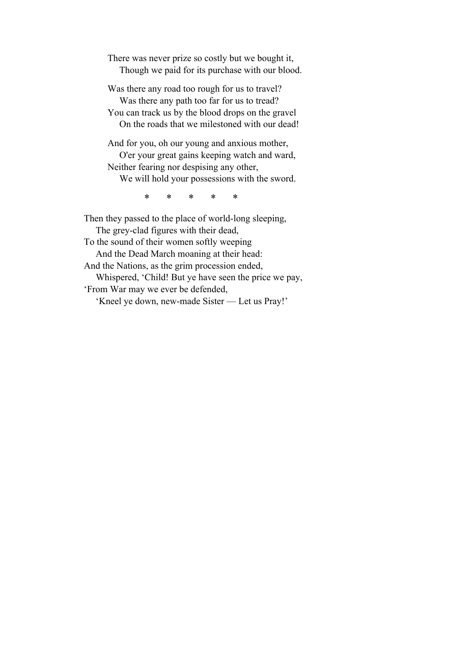There was never prize so costly but we bought it, Though we paid for its purchase with our blood.

Was there any road too rough for us to travel? Was there any path too far for us to tread? You can track us by the blood drops on the gravel On the roads that we milestoned with our dead!

And for you, oh our young and anxious mother, O'er your great gains keeping watch and ward, Neither fearing nor despising any other, We will hold your possessions with the sword.

\* \* \* \* \*

Then they passed to the place of world-long sleeping, The grey-clad figures with their dead, To the sound of their women softly weeping And the Dead March moaning at their head: And the Nations, as the grim procession ended, Whispered, 'Child! But ye have seen the price we pay, 'From War may we ever be defended, 'Kneel ye down, new-made Sister — Let us Pray!'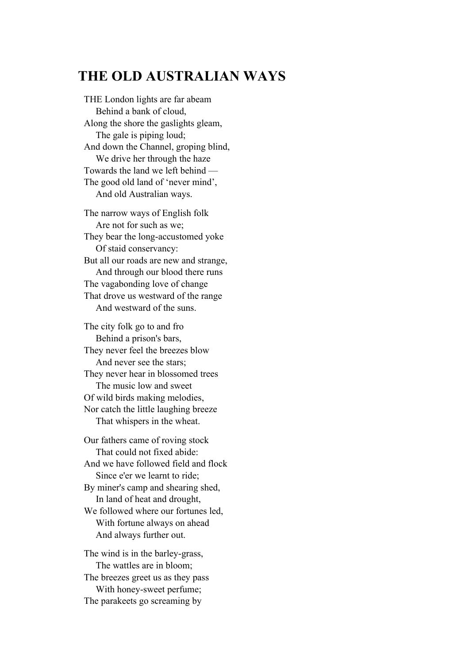### **THE OLD AUSTRALIAN WAYS**

THE London lights are far abeam Behind a bank of cloud, Along the shore the gaslights gleam, The gale is piping loud; And down the Channel, groping blind, We drive her through the haze Towards the land we left behind — The good old land of 'never mind', And old Australian ways.

The narrow ways of English folk Are not for such as we; They bear the long-accustomed yoke Of staid conservancy: But all our roads are new and strange, And through our blood there runs The vagabonding love of change That drove us westward of the range And westward of the suns.

The city folk go to and fro Behind a prison's bars, They never feel the breezes blow And never see the stars; They never hear in blossomed trees The music low and sweet Of wild birds making melodies, Nor catch the little laughing breeze That whispers in the wheat.

Our fathers came of roving stock That could not fixed abide: And we have followed field and flock Since e'er we learnt to ride; By miner's camp and shearing shed, In land of heat and drought, We followed where our fortunes led, With fortune always on ahead And always further out.

The wind is in the barley-grass, The wattles are in bloom; The breezes greet us as they pass With honey-sweet perfume; The parakeets go screaming by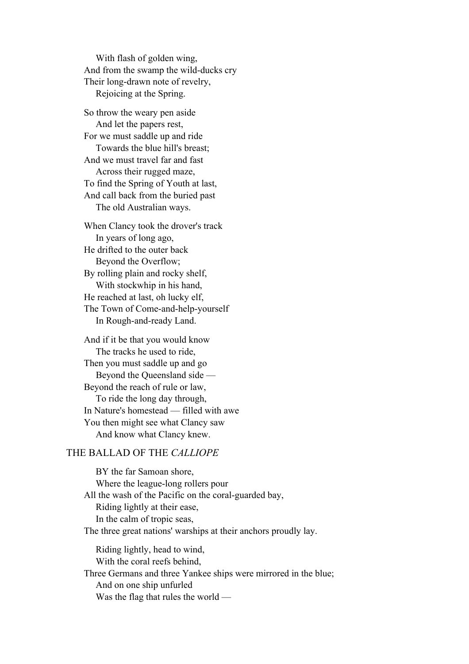With flash of golden wing, And from the swamp the wild-ducks cry Their long-drawn note of revelry, Rejoicing at the Spring.

So throw the weary pen aside And let the papers rest, For we must saddle up and ride Towards the blue hill's breast; And we must travel far and fast Across their rugged maze, To find the Spring of Youth at last, And call back from the buried past The old Australian ways.

When Clancy took the drover's track In years of long ago, He drifted to the outer back Beyond the Overflow; By rolling plain and rocky shelf, With stockwhip in his hand, He reached at last, oh lucky elf, The Town of Come-and-help-yourself In Rough-and-ready Land.

And if it be that you would know The tracks he used to ride, Then you must saddle up and go Beyond the Queensland side — Beyond the reach of rule or law, To ride the long day through, In Nature's homestead — filled with awe You then might see what Clancy saw And know what Clancy knew.

#### THE BALLAD OF THE *CALLIOPE*

 BY the far Samoan shore, Where the league-long rollers pour All the wash of the Pacific on the coral-guarded bay, Riding lightly at their ease, In the calm of tropic seas, The three great nations' warships at their anchors proudly lay. Riding lightly, head to wind, With the coral reefs behind, Three Germans and three Yankee ships were mirrored in the blue; And on one ship unfurled Was the flag that rules the world —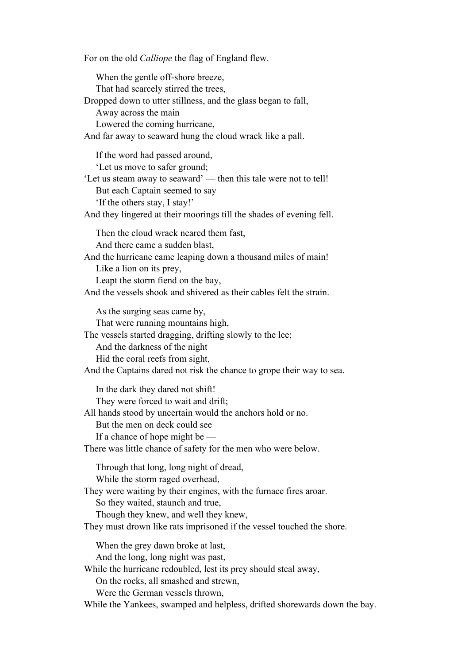For on the old *Calliope* the flag of England flew. When the gentle off-shore breeze, That had scarcely stirred the trees, Dropped down to utter stillness, and the glass began to fall, Away across the main Lowered the coming hurricane, And far away to seaward hung the cloud wrack like a pall. If the word had passed around, 'Let us move to safer ground; 'Let us steam away to seaward' — then this tale were not to tell! But each Captain seemed to say 'If the others stay, I stay!' And they lingered at their moorings till the shades of evening fell. Then the cloud wrack neared them fast, And there came a sudden blast, And the hurricane came leaping down a thousand miles of main! Like a lion on its prey, Leapt the storm fiend on the bay, And the vessels shook and shivered as their cables felt the strain. As the surging seas came by, That were running mountains high, The vessels started dragging, drifting slowly to the lee; And the darkness of the night Hid the coral reefs from sight, And the Captains dared not risk the chance to grope their way to sea. In the dark they dared not shift! They were forced to wait and drift; All hands stood by uncertain would the anchors hold or no. But the men on deck could see If a chance of hope might be — There was little chance of safety for the men who were below. Through that long, long night of dread, While the storm raged overhead, They were waiting by their engines, with the furnace fires aroar. So they waited, staunch and true, Though they knew, and well they knew, They must drown like rats imprisoned if the vessel touched the shore. When the grey dawn broke at last, And the long, long night was past, While the hurricane redoubled, lest its prey should steal away, On the rocks, all smashed and strewn, Were the German vessels thrown, While the Yankees, swamped and helpless, drifted shorewards down the bay.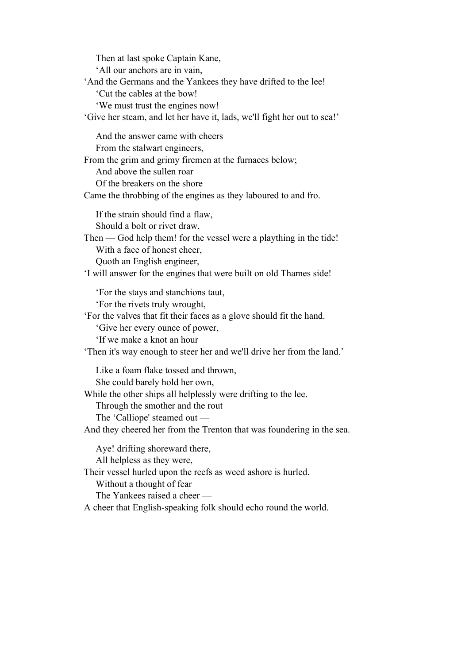Then at last spoke Captain Kane, 'All our anchors are in vain, 'And the Germans and the Yankees they have drifted to the lee! 'Cut the cables at the bow! 'We must trust the engines now! 'Give her steam, and let her have it, lads, we'll fight her out to sea!' And the answer came with cheers From the stalwart engineers, From the grim and grimy firemen at the furnaces below; And above the sullen roar Of the breakers on the shore Came the throbbing of the engines as they laboured to and fro. If the strain should find a flaw, Should a bolt or rivet draw, Then — God help them! for the vessel were a plaything in the tide! With a face of honest cheer, Quoth an English engineer, 'I will answer for the engines that were built on old Thames side! 'For the stays and stanchions taut, 'For the rivets truly wrought, 'For the valves that fit their faces as a glove should fit the hand. 'Give her every ounce of power, 'If we make a knot an hour 'Then it's way enough to steer her and we'll drive her from the land.' Like a foam flake tossed and thrown, She could barely hold her own, While the other ships all helplessly were drifting to the lee. Through the smother and the rout The 'Calliope' steamed out — And they cheered her from the Trenton that was foundering in the sea. Aye! drifting shoreward there, All helpless as they were, Their vessel hurled upon the reefs as weed ashore is hurled. Without a thought of fear The Yankees raised a cheer — A cheer that English-speaking folk should echo round the world.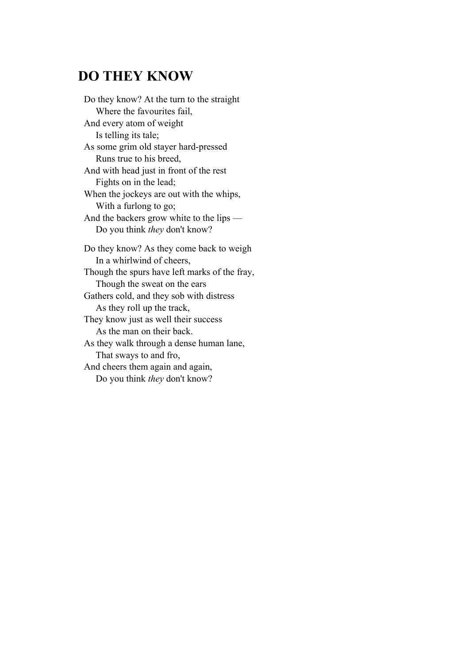### **DO THEY KNOW**

Do they know? At the turn to the straight Where the favourites fail, And every atom of weight Is telling its tale; As some grim old stayer hard-pressed Runs true to his breed, And with head just in front of the rest Fights on in the lead; When the jockeys are out with the whips, With a furlong to go; And the backers grow white to the lips — Do you think *they* don't know? Do they know? As they come back to weigh In a whirlwind of cheers, Though the spurs have left marks of the fray, Though the sweat on the ears Gathers cold, and they sob with distress As they roll up the track,

They know just as well their success As the man on their back.

As they walk through a dense human lane, That sways to and fro,

And cheers them again and again, Do you think *they* don't know?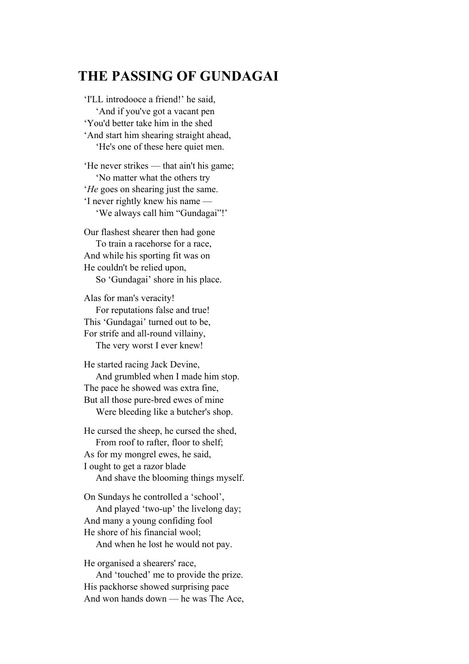### **THE PASSING OF GUNDAGAI**

'I'LL introdooce a friend!' he said, 'And if you've got a vacant pen 'You'd better take him in the shed 'And start him shearing straight ahead, 'He's one of these here quiet men.

'He never strikes — that ain't his game; 'No matter what the others try '*He* goes on shearing just the same. 'I never rightly knew his name — 'We always call him "Gundagai"!'

Our flashest shearer then had gone To train a racehorse for a race, And while his sporting fit was on He couldn't be relied upon,

So 'Gundagai' shore in his place.

Alas for man's veracity! For reputations false and true! This 'Gundagai' turned out to be, For strife and all-round villainy, The very worst I ever knew!

He started racing Jack Devine, And grumbled when I made him stop. The pace he showed was extra fine, But all those pure-bred ewes of mine Were bleeding like a butcher's shop.

He cursed the sheep, he cursed the shed, From roof to rafter, floor to shelf; As for my mongrel ewes, he said, I ought to get a razor blade And shave the blooming things myself.

On Sundays he controlled a 'school', And played 'two-up' the livelong day; And many a young confiding fool He shore of his financial wool;

And when he lost he would not pay.

He organised a shearers' race,

 And 'touched' me to provide the prize. His packhorse showed surprising pace And won hands down — he was The Ace,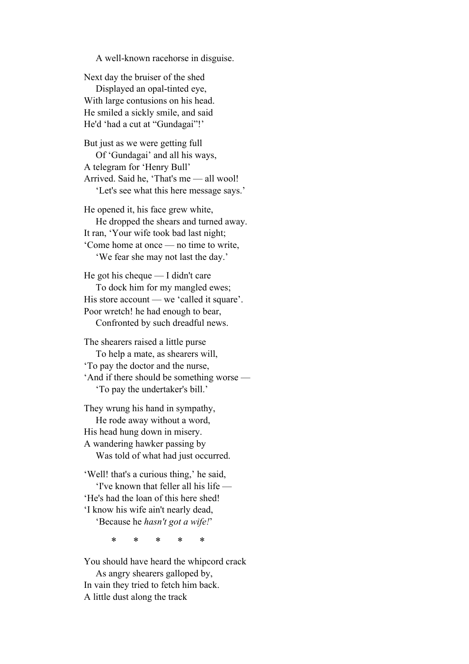A well-known racehorse in disguise.

Next day the bruiser of the shed Displayed an opal-tinted eye, With large contusions on his head. He smiled a sickly smile, and said He'd 'had a cut at "Gundagai"!'

But just as we were getting full Of 'Gundagai' and all his ways, A telegram for 'Henry Bull' Arrived. Said he, 'That's me — all wool! 'Let's see what this here message says.'

He opened it, his face grew white, He dropped the shears and turned away. It ran, 'Your wife took bad last night; 'Come home at once — no time to write, 'We fear she may not last the day.'

He got his cheque — I didn't care To dock him for my mangled ewes; His store account — we 'called it square'. Poor wretch! he had enough to bear, Confronted by such dreadful news.

The shearers raised a little purse To help a mate, as shearers will, 'To pay the doctor and the nurse, 'And if there should be something worse — 'To pay the undertaker's bill.'

They wrung his hand in sympathy, He rode away without a word, His head hung down in misery. A wandering hawker passing by Was told of what had just occurred.

'Well! that's a curious thing,' he said, 'I've known that feller all his life — 'He's had the loan of this here shed! 'I know his wife ain't nearly dead, 'Because he *hasn't got a wife!*'

\* \* \* \* \*

You should have heard the whipcord crack As angry shearers galloped by, In vain they tried to fetch him back. A little dust along the track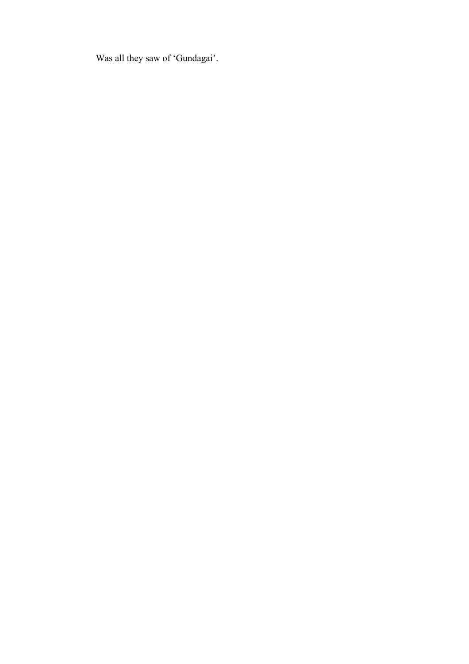Was all they saw of 'Gundagai'.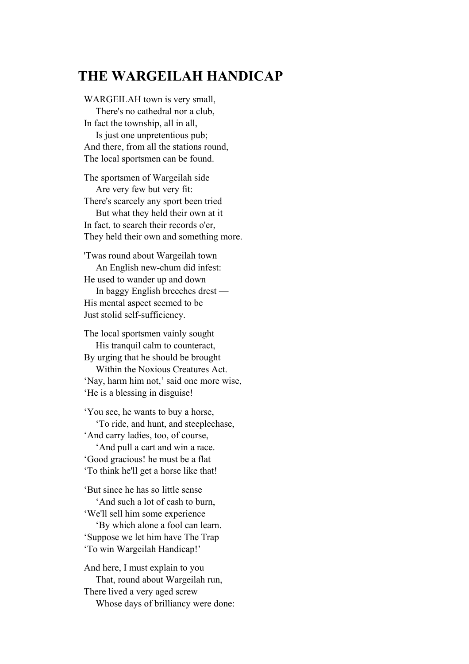## **THE WARGEILAH HANDICAP**

WARGEILAH town is very small, There's no cathedral nor a club, In fact the township, all in all, Is just one unpretentious pub; And there, from all the stations round, The local sportsmen can be found.

The sportsmen of Wargeilah side Are very few but very fit: There's scarcely any sport been tried But what they held their own at it In fact, to search their records o'er, They held their own and something more.

'Twas round about Wargeilah town An English new-chum did infest: He used to wander up and down In baggy English breeches drest — His mental aspect seemed to be Just stolid self-sufficiency.

The local sportsmen vainly sought His tranquil calm to counteract, By urging that he should be brought Within the Noxious Creatures Act. 'Nay, harm him not,' said one more wise, 'He is a blessing in disguise!

'You see, he wants to buy a horse, 'To ride, and hunt, and steeplechase, 'And carry ladies, too, of course, 'And pull a cart and win a race.

'Good gracious! he must be a flat 'To think he'll get a horse like that!

'But since he has so little sense 'And such a lot of cash to burn, 'We'll sell him some experience 'By which alone a fool can learn. 'Suppose we let him have The Trap 'To win Wargeilah Handicap!'

And here, I must explain to you That, round about Wargeilah run, There lived a very aged screw Whose days of brilliancy were done: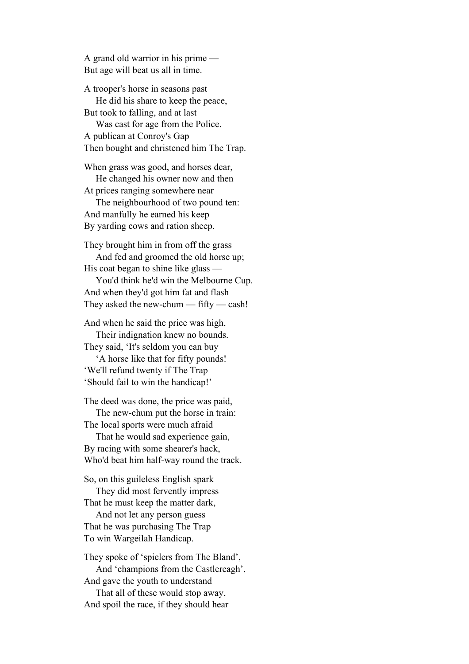A grand old warrior in his prime — But age will beat us all in time.

A trooper's horse in seasons past He did his share to keep the peace, But took to falling, and at last Was cast for age from the Police.

A publican at Conroy's Gap Then bought and christened him The Trap.

When grass was good, and horses dear, He changed his owner now and then At prices ranging somewhere near

 The neighbourhood of two pound ten: And manfully he earned his keep By yarding cows and ration sheep.

They brought him in from off the grass And fed and groomed the old horse up; His coat began to shine like glass —

 You'd think he'd win the Melbourne Cup. And when they'd got him fat and flash They asked the new-chum — fifty — cash!

And when he said the price was high, Their indignation knew no bounds. They said, 'It's seldom you can buy

 'A horse like that for fifty pounds! 'We'll refund twenty if The Trap 'Should fail to win the handicap!'

The deed was done, the price was paid, The new-chum put the horse in train: The local sports were much afraid

 That he would sad experience gain, By racing with some shearer's hack, Who'd beat him half-way round the track.

So, on this guileless English spark They did most fervently impress

That he must keep the matter dark,

 And not let any person guess That he was purchasing The Trap To win Wargeilah Handicap.

They spoke of 'spielers from The Bland', And 'champions from the Castlereagh', And gave the youth to understand That all of these would stop away, And spoil the race, if they should hear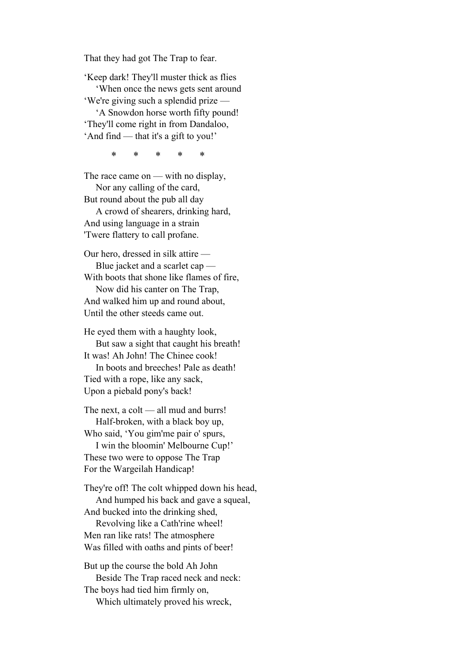That they had got The Trap to fear.

'Keep dark! They'll muster thick as flies

 'When once the news gets sent around 'We're giving such a splendid prize —

 'A Snowdon horse worth fifty pound! 'They'll come right in from Dandaloo, 'And find — that it's a gift to you!'

\* \* \* \* \*

The race came on — with no display, Nor any calling of the card,

But round about the pub all day

 A crowd of shearers, drinking hard, And using language in a strain 'Twere flattery to call profane.

Our hero, dressed in silk attire — Blue jacket and a scarlet cap — With boots that shone like flames of fire, Now did his canter on The Trap,

And walked him up and round about, Until the other steeds came out.

He eyed them with a haughty look, But saw a sight that caught his breath! It was! Ah John! The Chinee cook! In boots and breeches! Pale as death! Tied with a rope, like any sack, Upon a piebald pony's back!

The next, a colt — all mud and burrs! Half-broken, with a black boy up,

Who said, 'You gim'me pair o' spurs, I win the bloomin' Melbourne Cup!' These two were to oppose The Trap For the Wargeilah Handicap!

They're off! The colt whipped down his head, And humped his back and gave a squeal,

And bucked into the drinking shed,

 Revolving like a Cath'rine wheel! Men ran like rats! The atmosphere Was filled with oaths and pints of beer!

But up the course the bold Ah John Beside The Trap raced neck and neck: The boys had tied him firmly on, Which ultimately proved his wreck,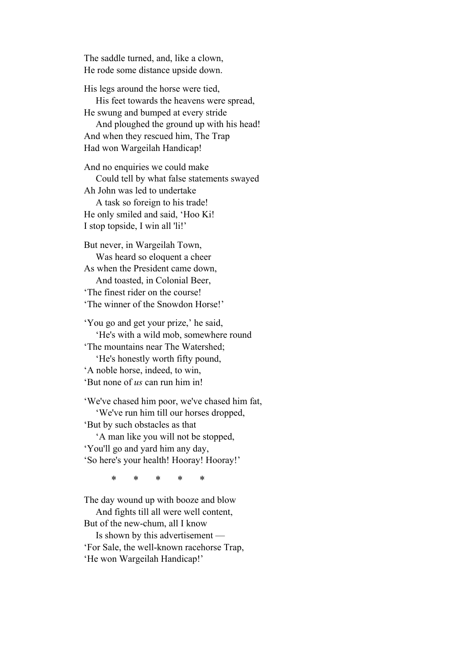The saddle turned, and, like a clown, He rode some distance upside down.

His legs around the horse were tied, His feet towards the heavens were spread, He swung and bumped at every stride And ploughed the ground up with his head! And when they rescued him, The Trap Had won Wargeilah Handicap!

And no enquiries we could make Could tell by what false statements swayed Ah John was led to undertake A task so foreign to his trade! He only smiled and said, 'Hoo Ki! I stop topside, I win all 'li!'

But never, in Wargeilah Town, Was heard so eloquent a cheer As when the President came down, And toasted, in Colonial Beer, 'The finest rider on the course! 'The winner of the Snowdon Horse!'

'You go and get your prize,' he said, 'He's with a wild mob, somewhere round 'The mountains near The Watershed; 'He's honestly worth fifty pound, 'A noble horse, indeed, to win, 'But none of *us* can run him in!

'We've chased him poor, we've chased him fat, 'We've run him till our horses dropped, 'But by such obstacles as that

 'A man like you will not be stopped, 'You'll go and yard him any day, 'So here's your health! Hooray! Hooray!'

\* \* \* \* \*

The day wound up with booze and blow And fights till all were well content, But of the new-chum, all I know

 Is shown by this advertisement — 'For Sale, the well-known racehorse Trap, 'He won Wargeilah Handicap!'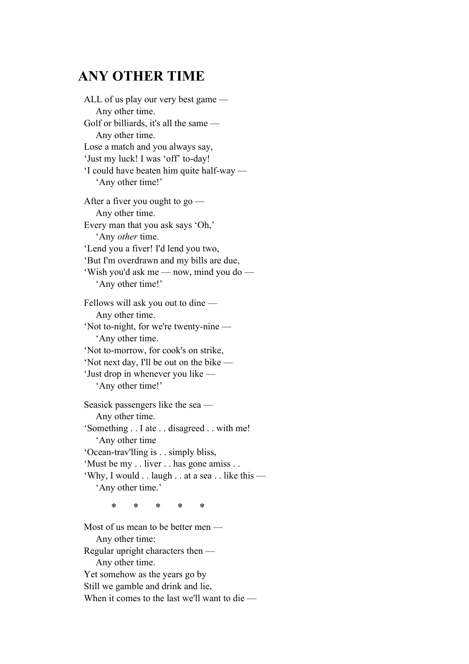### **ANY OTHER TIME**

ALL of us play our very best game — Any other time. Golf or billiards, it's all the same — Any other time. Lose a match and you always say, 'Just my luck! I was 'off' to-day! 'I could have beaten him quite half-way — 'Any other time!' After a fiver you ought to go — Any other time. Every man that you ask says 'Oh,' 'Any *other* time. 'Lend you a fiver! I'd lend you two, 'But I'm overdrawn and my bills are due, 'Wish you'd ask me — now, mind you do — 'Any other time!' Fellows will ask you out to dine — Any other time. 'Not to-night, for we're twenty-nine — 'Any other time. 'Not to-morrow, for cook's on strike, 'Not next day, I'll be out on the bike — 'Just drop in whenever you like — 'Any other time!' Seasick passengers like the sea — Any other time. 'Something . . I ate . . disagreed . . with me! 'Any other time 'Ocean-trav'lling is . . simply bliss, 'Must be my . . liver . . has gone amiss . . 'Why, I would . . laugh . . at a sea . . like this — 'Any other time.' \* \* \* \* \*

Most of us mean to be better men — Any other time: Regular upright characters then — Any other time. Yet somehow as the years go by Still we gamble and drink and lie, When it comes to the last we'll want to die —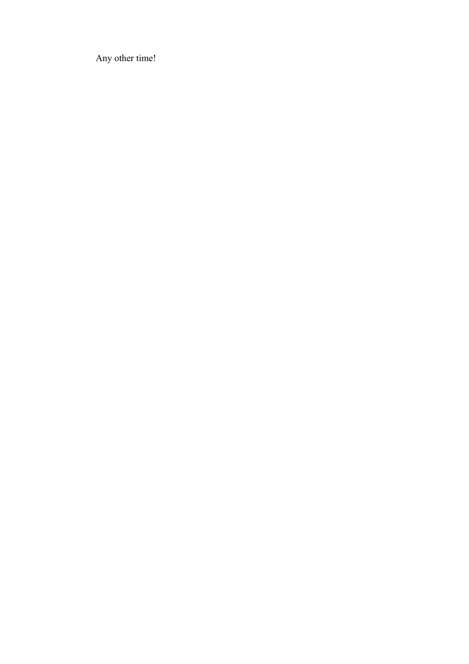Any other time!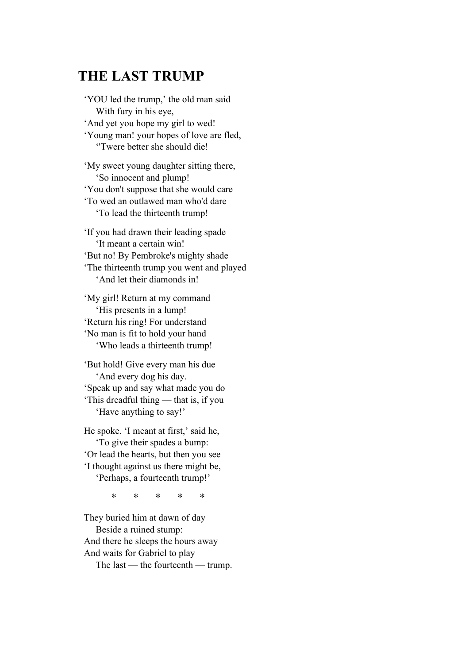## **THE LAST TRUMP**

'YOU led the trump,' the old man said With fury in his eye, 'And yet you hope my girl to wed! 'Young man! your hopes of love are fled, ''Twere better she should die! 'My sweet young daughter sitting there,

 'So innocent and plump! 'You don't suppose that she would care 'To wed an outlawed man who'd dare 'To lead the thirteenth trump!

'If you had drawn their leading spade 'It meant a certain win! 'But no! By Pembroke's mighty shade 'The thirteenth trump you went and played 'And let their diamonds in!

'My girl! Return at my command 'His presents in a lump! 'Return his ring! For understand 'No man is fit to hold your hand 'Who leads a thirteenth trump!

'But hold! Give every man his due 'And every dog his day. 'Speak up and say what made you do 'This dreadful thing — that is, if you 'Have anything to say!'

He spoke. 'I meant at first,' said he, 'To give their spades a bump: 'Or lead the hearts, but then you see 'I thought against us there might be, 'Perhaps, a fourteenth trump!'

\* \* \* \* \*

They buried him at dawn of day Beside a ruined stump: And there he sleeps the hours away And waits for Gabriel to play The last — the fourteenth — trump.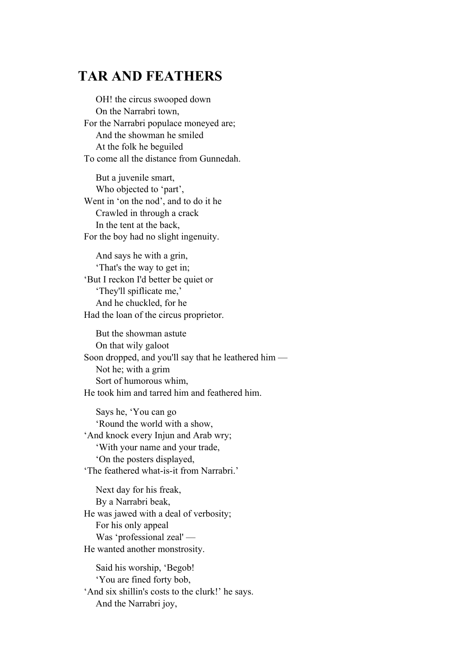### **TAR AND FEATHERS**

 OH! the circus swooped down On the Narrabri town, For the Narrabri populace moneyed are; And the showman he smiled At the folk he beguiled To come all the distance from Gunnedah.

 But a juvenile smart, Who objected to 'part', Went in 'on the nod', and to do it he Crawled in through a crack In the tent at the back, For the boy had no slight ingenuity.

 And says he with a grin, 'That's the way to get in; 'But I reckon I'd better be quiet or 'They'll spiflicate me,' And he chuckled, for he Had the loan of the circus proprietor.

 But the showman astute On that wily galoot Soon dropped, and you'll say that he leathered him — Not he; with a grim Sort of humorous whim, He took him and tarred him and feathered him.

 Says he, 'You can go 'Round the world with a show, 'And knock every Injun and Arab wry; 'With your name and your trade, 'On the posters displayed, 'The feathered what-is-it from Narrabri.'

 Next day for his freak, By a Narrabri beak, He was jawed with a deal of verbosity; For his only appeal Was 'professional zeal' — He wanted another monstrosity.

 Said his worship, 'Begob! 'You are fined forty bob, 'And six shillin's costs to the clurk!' he says. And the Narrabri joy,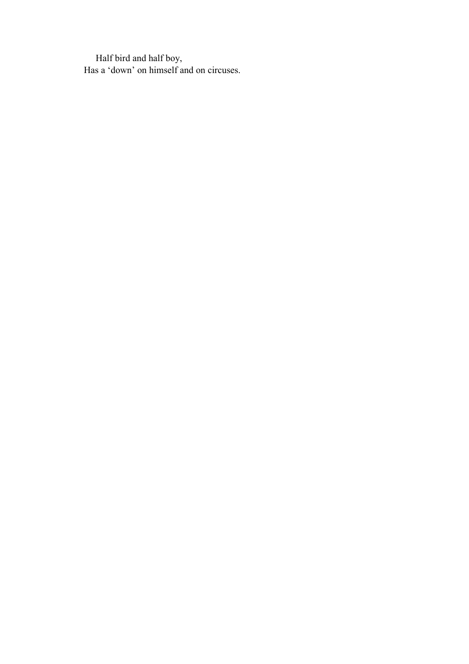Half bird and half boy, Has a 'down' on himself and on circuses.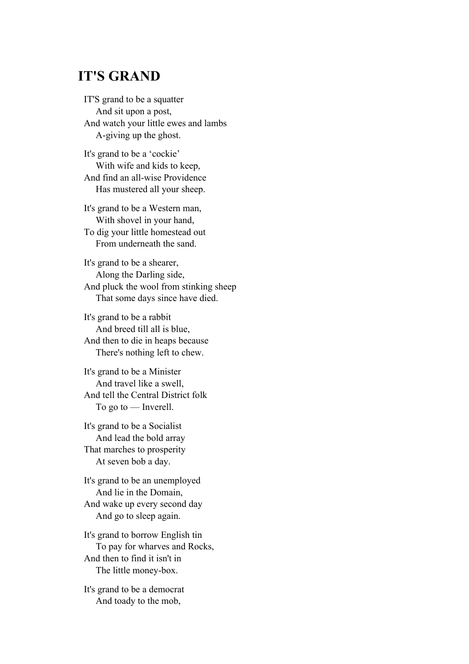### **IT'S GRAND**

IT'S grand to be a squatter And sit upon a post, And watch your little ewes and lambs A-giving up the ghost.

It's grand to be a 'cockie' With wife and kids to keep, And find an all-wise Providence Has mustered all your sheep.

It's grand to be a Western man, With shovel in your hand, To dig your little homestead out From underneath the sand.

It's grand to be a shearer, Along the Darling side, And pluck the wool from stinking sheep That some days since have died.

It's grand to be a rabbit And breed till all is blue, And then to die in heaps because There's nothing left to chew.

It's grand to be a Minister And travel like a swell, And tell the Central District folk To go to — Inverell.

It's grand to be a Socialist And lead the bold array That marches to prosperity At seven bob a day.

It's grand to be an unemployed And lie in the Domain, And wake up every second day And go to sleep again.

It's grand to borrow English tin To pay for wharves and Rocks, And then to find it isn't in The little money-box.

It's grand to be a democrat And toady to the mob,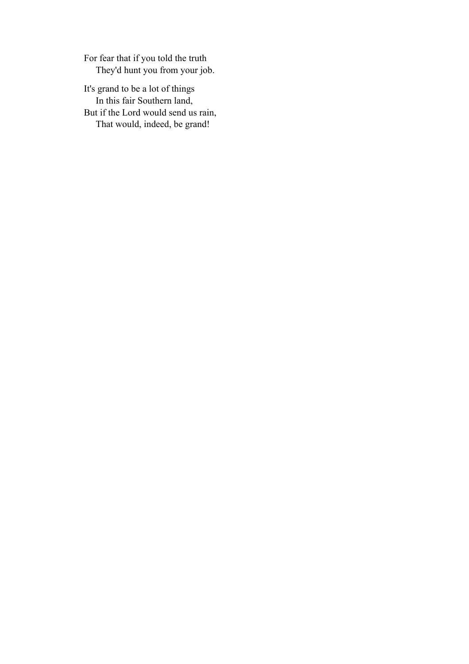For fear that if you told the truth They'd hunt you from your job.

It's grand to be a lot of things In this fair Southern land, But if the Lord would send us rain, That would, indeed, be grand!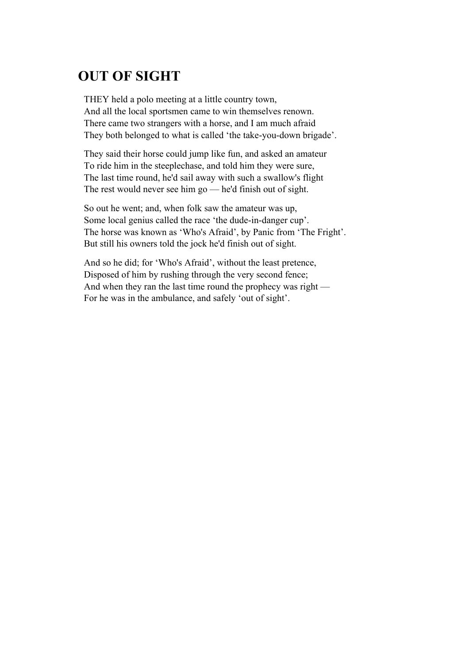# **OUT OF SIGHT**

THEY held a polo meeting at a little country town, And all the local sportsmen came to win themselves renown. There came two strangers with a horse, and I am much afraid They both belonged to what is called 'the take-you-down brigade'.

They said their horse could jump like fun, and asked an amateur To ride him in the steeplechase, and told him they were sure, The last time round, he'd sail away with such a swallow's flight The rest would never see him go — he'd finish out of sight.

So out he went; and, when folk saw the amateur was up, Some local genius called the race 'the dude-in-danger cup'. The horse was known as 'Who's Afraid', by Panic from 'The Fright'. But still his owners told the jock he'd finish out of sight.

And so he did; for 'Who's Afraid', without the least pretence, Disposed of him by rushing through the very second fence; And when they ran the last time round the prophecy was right — For he was in the ambulance, and safely 'out of sight'.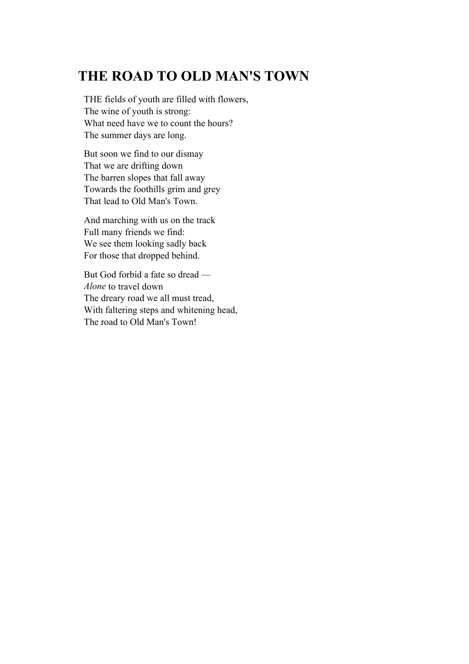## **THE ROAD TO OLD MAN'S TOWN**

THE fields of youth are filled with flowers, The wine of youth is strong: What need have we to count the hours? The summer days are long.

But soon we find to our dismay That we are drifting down The barren slopes that fall away Towards the foothills grim and grey That lead to Old Man's Town.

And marching with us on the track Full many friends we find: We see them looking sadly back For those that dropped behind.

But God forbid a fate so dread — *Alone* to travel down The dreary road we all must tread, With faltering steps and whitening head, The road to Old Man's Town!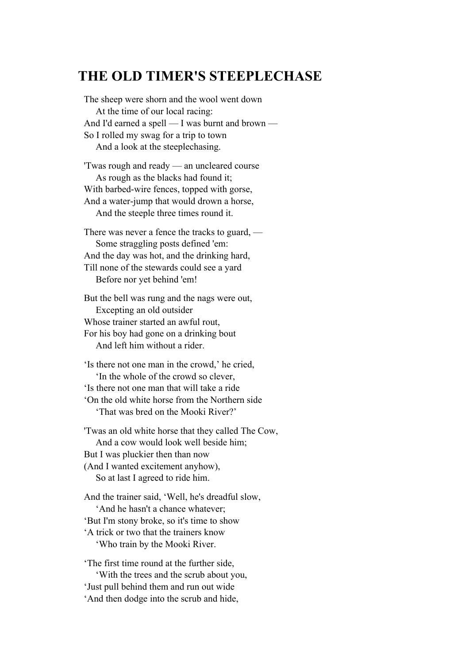#### **THE OLD TIMER'S STEEPLECHASE**

The sheep were shorn and the wool went down At the time of our local racing: And I'd earned a spell — I was burnt and brown — So I rolled my swag for a trip to town And a look at the steeplechasing.

'Twas rough and ready — an uncleared course As rough as the blacks had found it; With barbed-wire fences, topped with gorse, And a water-jump that would drown a horse, And the steeple three times round it.

There was never a fence the tracks to guard, — Some straggling posts defined 'em: And the day was hot, and the drinking hard, Till none of the stewards could see a yard Before nor yet behind 'em!

But the bell was rung and the nags were out, Excepting an old outsider Whose trainer started an awful rout, For his boy had gone on a drinking bout And left him without a rider.

'Is there not one man in the crowd,' he cried, 'In the whole of the crowd so clever, 'Is there not one man that will take a ride 'On the old white horse from the Northern side 'That was bred on the Mooki River?'

'Twas an old white horse that they called The Cow, And a cow would look well beside him; But I was pluckier then than now (And I wanted excitement anyhow), So at last I agreed to ride him.

And the trainer said, 'Well, he's dreadful slow, 'And he hasn't a chance whatever; 'But I'm stony broke, so it's time to show 'A trick or two that the trainers know 'Who train by the Mooki River.

'The first time round at the further side, 'With the trees and the scrub about you, 'Just pull behind them and run out wide 'And then dodge into the scrub and hide,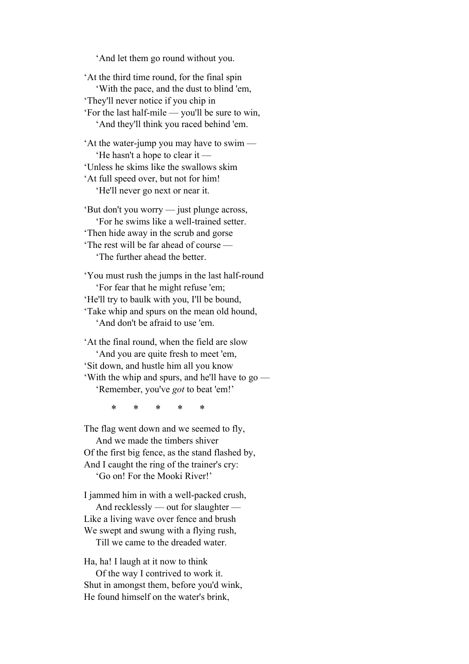'And let them go round without you.

'At the third time round, for the final spin 'With the pace, and the dust to blind 'em, 'They'll never notice if you chip in 'For the last half-mile — you'll be sure to win, 'And they'll think you raced behind 'em.

'At the water-jump you may have to swim — 'He hasn't a hope to clear it — 'Unless he skims like the swallows skim 'At full speed over, but not for him! 'He'll never go next or near it.

'But don't you worry — just plunge across, 'For he swims like a well-trained setter. 'Then hide away in the scrub and gorse 'The rest will be far ahead of course — 'The further ahead the better.

'You must rush the jumps in the last half-round 'For fear that he might refuse 'em; 'He'll try to baulk with you, I'll be bound, 'Take whip and spurs on the mean old hound, 'And don't be afraid to use 'em.

'At the final round, when the field are slow 'And you are quite fresh to meet 'em, 'Sit down, and hustle him all you know 'With the whip and spurs, and he'll have to go — 'Remember, you've *got* to beat 'em!'

\* \* \* \* \*

The flag went down and we seemed to fly, And we made the timbers shiver Of the first big fence, as the stand flashed by, And I caught the ring of the trainer's cry: 'Go on! For the Mooki River!'

I jammed him in with a well-packed crush,

 And recklessly — out for slaughter — Like a living wave over fence and brush We swept and swung with a flying rush,

Till we came to the dreaded water.

Ha, ha! I laugh at it now to think

 Of the way I contrived to work it. Shut in amongst them, before you'd wink, He found himself on the water's brink,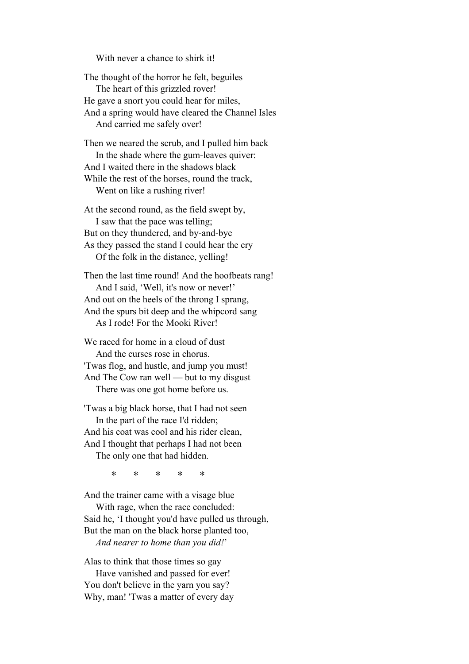With never a chance to shirk it!

The thought of the horror he felt, beguiles The heart of this grizzled rover! He gave a snort you could hear for miles, And a spring would have cleared the Channel Isles And carried me safely over!

Then we neared the scrub, and I pulled him back In the shade where the gum-leaves quiver: And I waited there in the shadows black While the rest of the horses, round the track, Went on like a rushing river!

At the second round, as the field swept by, I saw that the pace was telling; But on they thundered, and by-and-bye As they passed the stand I could hear the cry Of the folk in the distance, yelling!

Then the last time round! And the hoofbeats rang! And I said, 'Well, it's now or never!' And out on the heels of the throng I sprang, And the spurs bit deep and the whipcord sang As I rode! For the Mooki River!

We raced for home in a cloud of dust And the curses rose in chorus. 'Twas flog, and hustle, and jump you must! And The Cow ran well — but to my disgust There was one got home before us.

'Twas a big black horse, that I had not seen In the part of the race I'd ridden; And his coat was cool and his rider clean, And I thought that perhaps I had not been The only one that had hidden.

\* \* \* \* \*

And the trainer came with a visage blue

 With rage, when the race concluded: Said he, 'I thought you'd have pulled us through, But the man on the black horse planted too, *And nearer to home than you did!*'

Alas to think that those times so gay

 Have vanished and passed for ever! You don't believe in the yarn you say? Why, man! 'Twas a matter of every day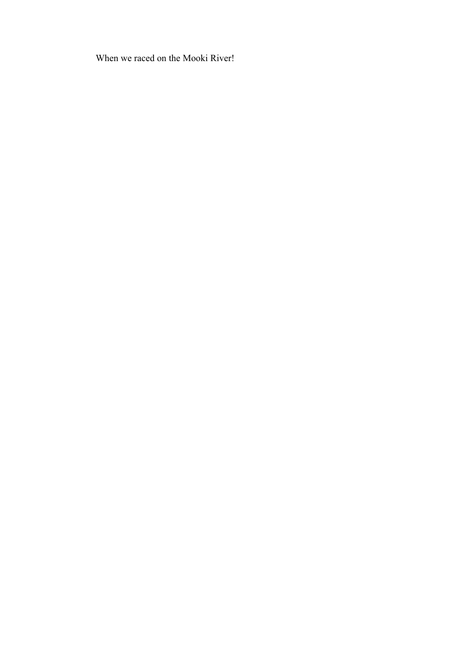When we raced on the Mooki River!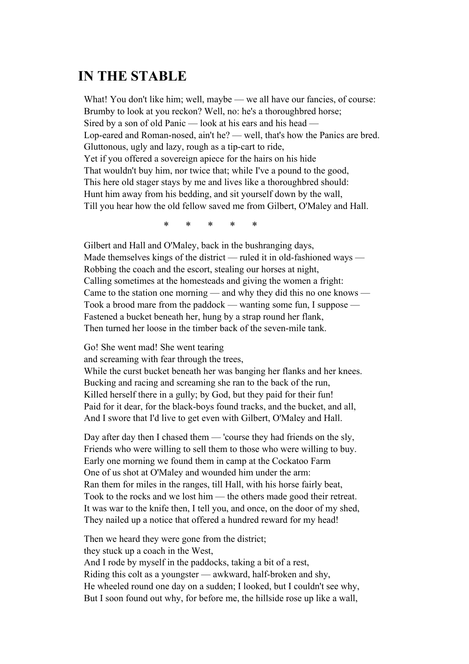#### **IN THE STABLE**

What! You don't like him; well, maybe — we all have our fancies, of course: Brumby to look at you reckon? Well, no: he's a thoroughbred horse; Sired by a son of old Panic — look at his ears and his head — Lop-eared and Roman-nosed, ain't he? — well, that's how the Panics are bred. Gluttonous, ugly and lazy, rough as a tip-cart to ride, Yet if you offered a sovereign apiece for the hairs on his hide That wouldn't buy him, nor twice that; while I've a pound to the good, This here old stager stays by me and lives like a thoroughbred should: Hunt him away from his bedding, and sit yourself down by the wall, Till you hear how the old fellow saved me from Gilbert, O'Maley and Hall.

\* \* \* \* \*

Gilbert and Hall and O'Maley, back in the bushranging days, Made themselves kings of the district — ruled it in old-fashioned ways — Robbing the coach and the escort, stealing our horses at night, Calling sometimes at the homesteads and giving the women a fright: Came to the station one morning — and why they did this no one knows — Took a brood mare from the paddock — wanting some fun, I suppose — Fastened a bucket beneath her, hung by a strap round her flank, Then turned her loose in the timber back of the seven-mile tank.

Go! She went mad! She went tearing

and screaming with fear through the trees,

While the curst bucket beneath her was banging her flanks and her knees. Bucking and racing and screaming she ran to the back of the run, Killed herself there in a gully; by God, but they paid for their fun! Paid for it dear, for the black-boys found tracks, and the bucket, and all, And I swore that I'd live to get even with Gilbert, O'Maley and Hall.

Day after day then I chased them — 'course they had friends on the sly, Friends who were willing to sell them to those who were willing to buy. Early one morning we found them in camp at the Cockatoo Farm One of us shot at O'Maley and wounded him under the arm: Ran them for miles in the ranges, till Hall, with his horse fairly beat, Took to the rocks and we lost him — the others made good their retreat. It was war to the knife then, I tell you, and once, on the door of my shed, They nailed up a notice that offered a hundred reward for my head!

Then we heard they were gone from the district; they stuck up a coach in the West, And I rode by myself in the paddocks, taking a bit of a rest, Riding this colt as a youngster — awkward, half-broken and shy, He wheeled round one day on a sudden; I looked, but I couldn't see why, But I soon found out why, for before me, the hillside rose up like a wall,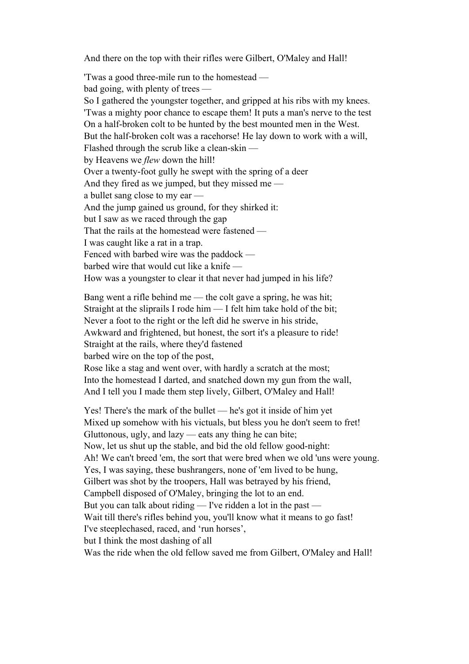And there on the top with their rifles were Gilbert, O'Maley and Hall!

'Twas a good three-mile run to the homestead bad going, with plenty of trees — So I gathered the youngster together, and gripped at his ribs with my knees. 'Twas a mighty poor chance to escape them! It puts a man's nerve to the test On a half-broken colt to be hunted by the best mounted men in the West. But the half-broken colt was a racehorse! He lay down to work with a will, Flashed through the scrub like a clean-skin by Heavens we *flew* down the hill! Over a twenty-foot gully he swept with the spring of a deer And they fired as we jumped, but they missed me a bullet sang close to my ear — And the jump gained us ground, for they shirked it: but I saw as we raced through the gap That the rails at the homestead were fastened — I was caught like a rat in a trap. Fenced with barbed wire was the paddock barbed wire that would cut like a knife — How was a youngster to clear it that never had jumped in his life?

Bang went a rifle behind me — the colt gave a spring, he was hit; Straight at the sliprails I rode him — I felt him take hold of the bit; Never a foot to the right or the left did he swerve in his stride, Awkward and frightened, but honest, the sort it's a pleasure to ride! Straight at the rails, where they'd fastened barbed wire on the top of the post, Rose like a stag and went over, with hardly a scratch at the most; Into the homestead I darted, and snatched down my gun from the wall, And I tell you I made them step lively, Gilbert, O'Maley and Hall!

Yes! There's the mark of the bullet — he's got it inside of him yet Mixed up somehow with his victuals, but bless you he don't seem to fret! Gluttonous, ugly, and lazy — eats any thing he can bite; Now, let us shut up the stable, and bid the old fellow good-night: Ah! We can't breed 'em, the sort that were bred when we old 'uns were young. Yes, I was saying, these bushrangers, none of 'em lived to be hung, Gilbert was shot by the troopers, Hall was betrayed by his friend, Campbell disposed of O'Maley, bringing the lot to an end. But you can talk about riding — I've ridden a lot in the past — Wait till there's rifles behind you, you'll know what it means to go fast! I've steeplechased, raced, and 'run horses', but I think the most dashing of all Was the ride when the old fellow saved me from Gilbert, O'Maley and Hall!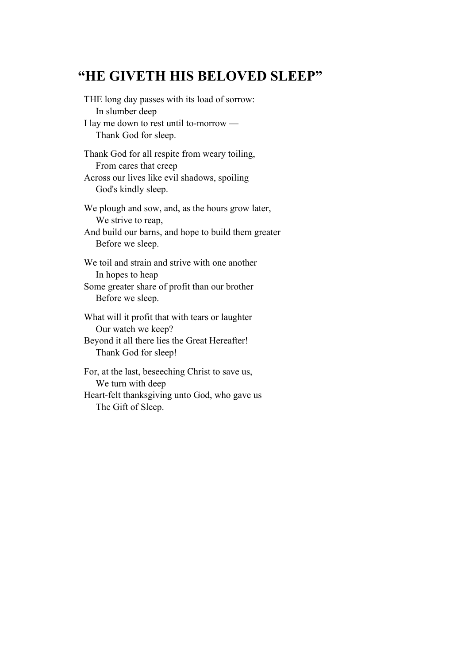## **"HE GIVETH HIS BELOVED SLEEP"**

THE long day passes with its load of sorrow: In slumber deep I lay me down to rest until to-morrow — Thank God for sleep. Thank God for all respite from weary toiling, From cares that creep Across our lives like evil shadows, spoiling God's kindly sleep. We plough and sow, and, as the hours grow later, We strive to reap,

And build our barns, and hope to build them greater Before we sleep.

We toil and strain and strive with one another In hopes to heap Some greater share of profit than our brother Before we sleep.

What will it profit that with tears or laughter Our watch we keep? Beyond it all there lies the Great Hereafter! Thank God for sleep!

For, at the last, beseeching Christ to save us, We turn with deep Heart-felt thanksgiving unto God, who gave us The Gift of Sleep.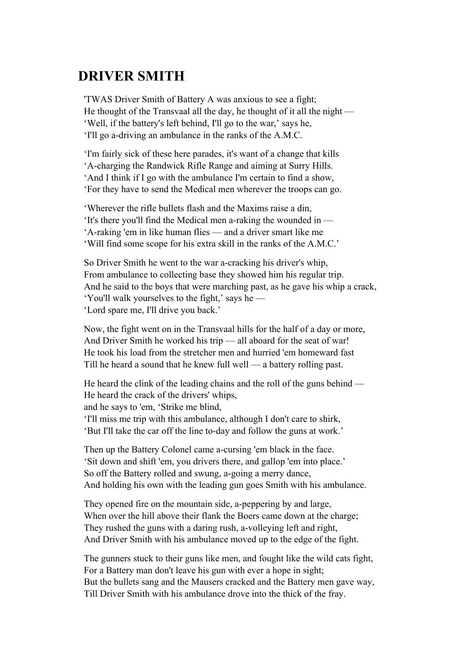## **DRIVER SMITH**

'TWAS Driver Smith of Battery A was anxious to see a fight; He thought of the Transvaal all the day, he thought of it all the night — 'Well, if the battery's left behind, I'll go to the war,' says he, 'I'll go a-driving an ambulance in the ranks of the A.M.C.

'I'm fairly sick of these here parades, it's want of a change that kills 'A-charging the Randwick Rifle Range and aiming at Surry Hills. 'And I think if I go with the ambulance I'm certain to find a show, 'For they have to send the Medical men wherever the troops can go.

'Wherever the rifle bullets flash and the Maxims raise a din, 'It's there you'll find the Medical men a-raking the wounded in — 'A-raking 'em in like human flies — and a driver smart like me 'Will find some scope for his extra skill in the ranks of the A.M.C.'

So Driver Smith he went to the war a-cracking his driver's whip, From ambulance to collecting base they showed him his regular trip. And he said to the boys that were marching past, as he gave his whip a crack, 'You'll walk yourselves to the fight,' says he — 'Lord spare me, I'll drive you back.'

Now, the fight went on in the Transvaal hills for the half of a day or more, And Driver Smith he worked his trip — all aboard for the seat of war! He took his load from the stretcher men and hurried 'em homeward fast Till he heard a sound that he knew full well — a battery rolling past.

He heard the clink of the leading chains and the roll of the guns behind — He heard the crack of the drivers' whips, and he says to 'em, 'Strike me blind, 'I'll miss me trip with this ambulance, although I don't care to shirk, 'But I'll take the car off the line to-day and follow the guns at work.'

Then up the Battery Colonel came a-cursing 'em black in the face. 'Sit down and shift 'em, you drivers there, and gallop 'em into place.' So off the Battery rolled and swung, a-going a merry dance, And holding his own with the leading gun goes Smith with his ambulance.

They opened fire on the mountain side, a-peppering by and large, When over the hill above their flank the Boers came down at the charge; They rushed the guns with a daring rush, a-volleying left and right, And Driver Smith with his ambulance moved up to the edge of the fight.

The gunners stuck to their guns like men, and fought like the wild cats fight, For a Battery man don't leave his gun with ever a hope in sight; But the bullets sang and the Mausers cracked and the Battery men gave way, Till Driver Smith with his ambulance drove into the thick of the fray.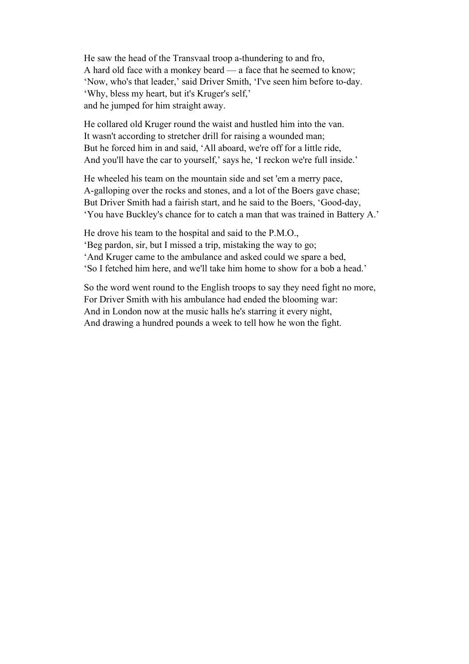He saw the head of the Transvaal troop a-thundering to and fro, A hard old face with a monkey beard — a face that he seemed to know; 'Now, who's that leader,' said Driver Smith, 'I've seen him before to-day. 'Why, bless my heart, but it's Kruger's self,' and he jumped for him straight away.

He collared old Kruger round the waist and hustled him into the van. It wasn't according to stretcher drill for raising a wounded man; But he forced him in and said, 'All aboard, we're off for a little ride, And you'll have the car to yourself,' says he, 'I reckon we're full inside.'

He wheeled his team on the mountain side and set 'em a merry pace, A-galloping over the rocks and stones, and a lot of the Boers gave chase; But Driver Smith had a fairish start, and he said to the Boers, 'Good-day, 'You have Buckley's chance for to catch a man that was trained in Battery A.'

He drove his team to the hospital and said to the P.M.O., 'Beg pardon, sir, but I missed a trip, mistaking the way to go; 'And Kruger came to the ambulance and asked could we spare a bed, 'So I fetched him here, and we'll take him home to show for a bob a head.'

So the word went round to the English troops to say they need fight no more, For Driver Smith with his ambulance had ended the blooming war: And in London now at the music halls he's starring it every night, And drawing a hundred pounds a week to tell how he won the fight.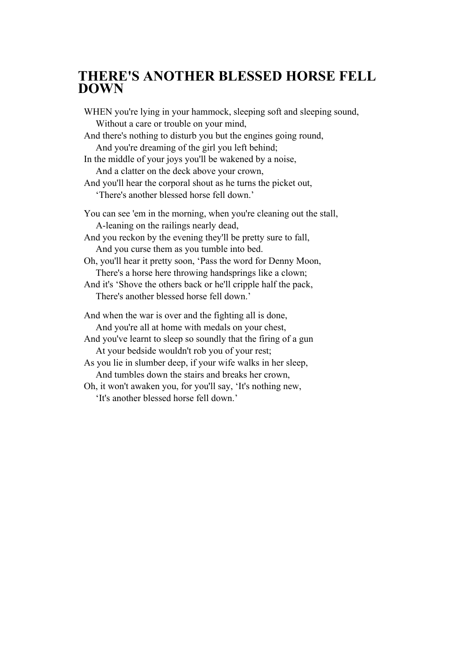#### **THERE'S ANOTHER BLESSED HORSE FELL DOWN**

WHEN you're lying in your hammock, sleeping soft and sleeping sound, Without a care or trouble on your mind, And there's nothing to disturb you but the engines going round, And you're dreaming of the girl you left behind; In the middle of your joys you'll be wakened by a noise, And a clatter on the deck above your crown, And you'll hear the corporal shout as he turns the picket out, 'There's another blessed horse fell down.' You can see 'em in the morning, when you're cleaning out the stall, A-leaning on the railings nearly dead, And you reckon by the evening they'll be pretty sure to fall, And you curse them as you tumble into bed. Oh, you'll hear it pretty soon, 'Pass the word for Denny Moon, There's a horse here throwing handsprings like a clown; And it's 'Shove the others back or he'll cripple half the pack, There's another blessed horse fell down.' And when the war is over and the fighting all is done, And you're all at home with medals on your chest, And you've learnt to sleep so soundly that the firing of a gun At your bedside wouldn't rob you of your rest; As you lie in slumber deep, if your wife walks in her sleep, And tumbles down the stairs and breaks her crown, Oh, it won't awaken you, for you'll say, 'It's nothing new, 'It's another blessed horse fell down.'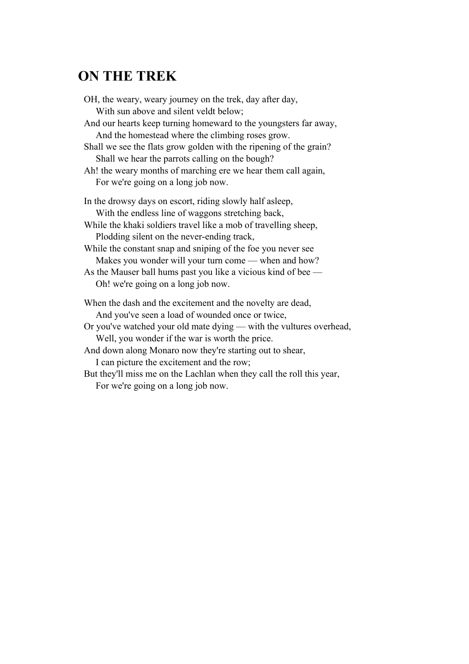# **ON THE TREK**

| OH, the weary, weary journey on the trek, day after day,              |
|-----------------------------------------------------------------------|
| With sun above and silent veldt below;                                |
| And our hearts keep turning homeward to the youngsters far away,      |
| And the homestead where the climbing roses grow.                      |
| Shall we see the flats grow golden with the ripening of the grain?    |
| Shall we hear the parrots calling on the bough?                       |
| Ah! the weary months of marching ere we hear them call again,         |
| For we're going on a long job now.                                    |
| In the drowsy days on escort, riding slowly half asleep,              |
| With the endless line of waggons stretching back,                     |
| While the khaki soldiers travel like a mob of travelling sheep,       |
| Plodding silent on the never-ending track,                            |
| While the constant snap and sniping of the foe you never see          |
| Makes you wonder will your turn come — when and how?                  |
| As the Mauser ball hums past you like a vicious kind of bee —         |
| Oh! we're going on a long job now.                                    |
| When the dash and the excitement and the novelty are dead,            |
| And you've seen a load of wounded once or twice,                      |
| Or you've watched your old mate dying — with the vultures overhead,   |
| Well, you wonder if the war is worth the price.                       |
| And down along Monaro now they're starting out to shear,              |
| I can picture the excitement and the row;                             |
| But they'll miss me on the Lachlan when they call the roll this year, |
|                                                                       |

For we're going on a long job now.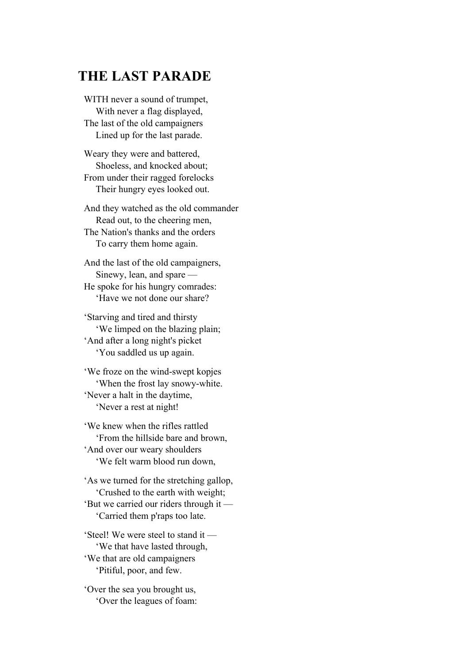## **THE LAST PARADE**

WITH never a sound of trumpet, With never a flag displayed, The last of the old campaigners Lined up for the last parade.

Weary they were and battered, Shoeless, and knocked about; From under their ragged forelocks Their hungry eyes looked out.

And they watched as the old commander Read out, to the cheering men, The Nation's thanks and the orders To carry them home again.

And the last of the old campaigners, Sinewy, lean, and spare — He spoke for his hungry comrades: 'Have we not done our share?

'Starving and tired and thirsty 'We limped on the blazing plain; 'And after a long night's picket 'You saddled us up again.

'We froze on the wind-swept kopjes 'When the frost lay snowy-white. 'Never a halt in the daytime, 'Never a rest at night!

'We knew when the rifles rattled 'From the hillside bare and brown, 'And over our weary shoulders 'We felt warm blood run down,

'As we turned for the stretching gallop, 'Crushed to the earth with weight; 'But we carried our riders through it — 'Carried them p'raps too late.

'Steel! We were steel to stand it — 'We that have lasted through, 'We that are old campaigners 'Pitiful, poor, and few.

'Over the sea you brought us, 'Over the leagues of foam: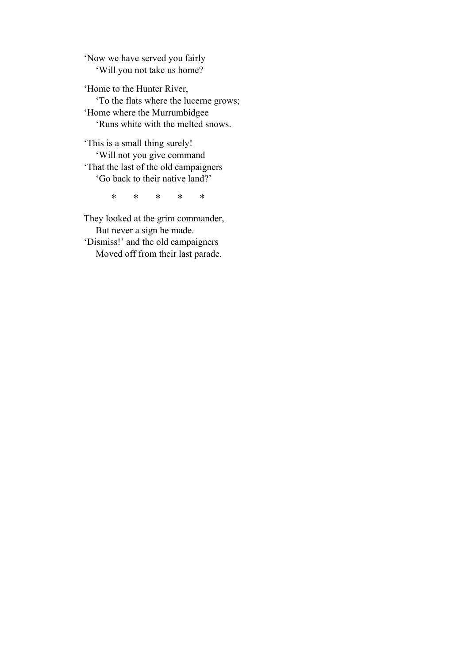'Now we have served you fairly 'Will you not take us home?

'Home to the Hunter River, 'To the flats where the lucerne grows; 'Home where the Murrumbidgee 'Runs white with the melted snows.

'This is a small thing surely! 'Will not you give command 'That the last of the old campaigners 'Go back to their native land?'

\* \* \* \* \*

They looked at the grim commander, But never a sign he made. 'Dismiss!' and the old campaigners Moved off from their last parade.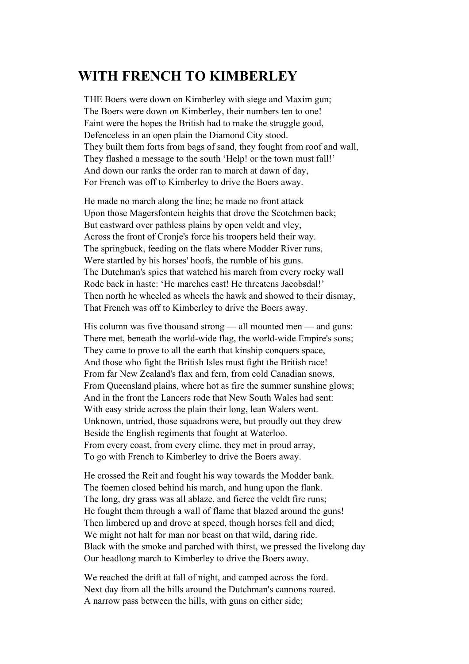## **WITH FRENCH TO KIMBERLEY**

THE Boers were down on Kimberley with siege and Maxim gun; The Boers were down on Kimberley, their numbers ten to one! Faint were the hopes the British had to make the struggle good, Defenceless in an open plain the Diamond City stood. They built them forts from bags of sand, they fought from roof and wall, They flashed a message to the south 'Help! or the town must fall!' And down our ranks the order ran to march at dawn of day, For French was off to Kimberley to drive the Boers away.

He made no march along the line; he made no front attack Upon those Magersfontein heights that drove the Scotchmen back; But eastward over pathless plains by open veldt and vley, Across the front of Cronje's force his troopers held their way. The springbuck, feeding on the flats where Modder River runs, Were startled by his horses' hoofs, the rumble of his guns. The Dutchman's spies that watched his march from every rocky wall Rode back in haste: 'He marches east! He threatens Jacobsdal!' Then north he wheeled as wheels the hawk and showed to their dismay, That French was off to Kimberley to drive the Boers away.

His column was five thousand strong — all mounted men — and guns: There met, beneath the world-wide flag, the world-wide Empire's sons; They came to prove to all the earth that kinship conquers space, And those who fight the British Isles must fight the British race! From far New Zealand's flax and fern, from cold Canadian snows, From Queensland plains, where hot as fire the summer sunshine glows; And in the front the Lancers rode that New South Wales had sent: With easy stride across the plain their long, lean Walers went. Unknown, untried, those squadrons were, but proudly out they drew Beside the English regiments that fought at Waterloo. From every coast, from every clime, they met in proud array, To go with French to Kimberley to drive the Boers away.

He crossed the Reit and fought his way towards the Modder bank. The foemen closed behind his march, and hung upon the flank. The long, dry grass was all ablaze, and fierce the veldt fire runs; He fought them through a wall of flame that blazed around the guns! Then limbered up and drove at speed, though horses fell and died; We might not halt for man nor beast on that wild, daring ride. Black with the smoke and parched with thirst, we pressed the livelong day Our headlong march to Kimberley to drive the Boers away.

We reached the drift at fall of night, and camped across the ford. Next day from all the hills around the Dutchman's cannons roared. A narrow pass between the hills, with guns on either side;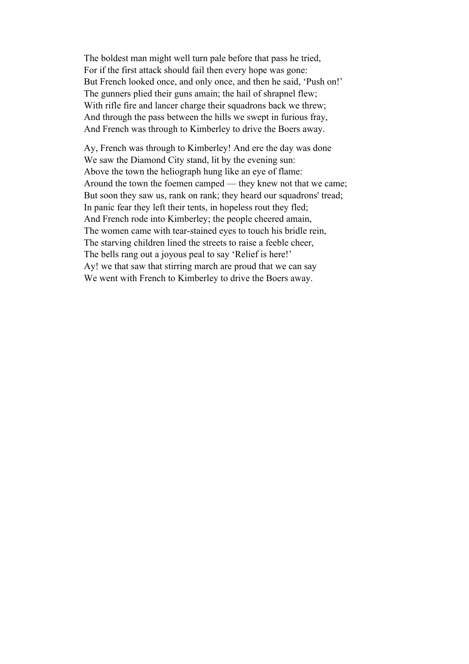The boldest man might well turn pale before that pass he tried, For if the first attack should fail then every hope was gone: But French looked once, and only once, and then he said, 'Push on!' The gunners plied their guns amain; the hail of shrapnel flew; With rifle fire and lancer charge their squadrons back we threw; And through the pass between the hills we swept in furious fray, And French was through to Kimberley to drive the Boers away.

Ay, French was through to Kimberley! And ere the day was done We saw the Diamond City stand, lit by the evening sun: Above the town the heliograph hung like an eye of flame: Around the town the foemen camped — they knew not that we came; But soon they saw us, rank on rank; they heard our squadrons' tread; In panic fear they left their tents, in hopeless rout they fled; And French rode into Kimberley; the people cheered amain, The women came with tear-stained eyes to touch his bridle rein, The starving children lined the streets to raise a feeble cheer, The bells rang out a joyous peal to say 'Relief is here!' Ay! we that saw that stirring march are proud that we can say We went with French to Kimberley to drive the Boers away.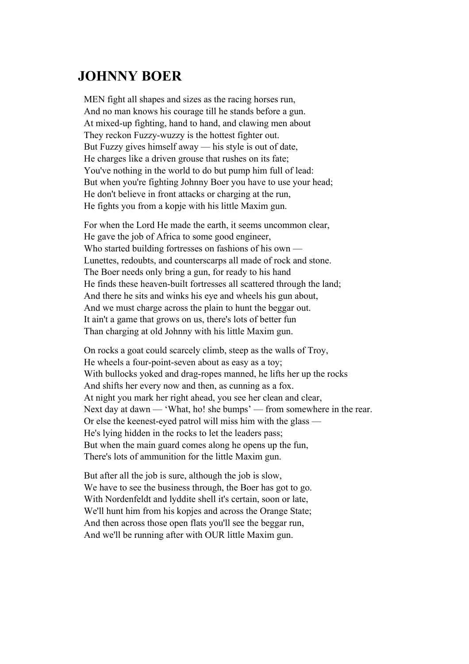#### **JOHNNY BOER**

MEN fight all shapes and sizes as the racing horses run, And no man knows his courage till he stands before a gun. At mixed-up fighting, hand to hand, and clawing men about They reckon Fuzzy-wuzzy is the hottest fighter out. But Fuzzy gives himself away — his style is out of date, He charges like a driven grouse that rushes on its fate; You've nothing in the world to do but pump him full of lead: But when you're fighting Johnny Boer you have to use your head; He don't believe in front attacks or charging at the run, He fights you from a kopje with his little Maxim gun.

For when the Lord He made the earth, it seems uncommon clear, He gave the job of Africa to some good engineer, Who started building fortresses on fashions of his own — Lunettes, redoubts, and counterscarps all made of rock and stone. The Boer needs only bring a gun, for ready to his hand He finds these heaven-built fortresses all scattered through the land; And there he sits and winks his eye and wheels his gun about, And we must charge across the plain to hunt the beggar out. It ain't a game that grows on us, there's lots of better fun Than charging at old Johnny with his little Maxim gun.

On rocks a goat could scarcely climb, steep as the walls of Troy, He wheels a four-point-seven about as easy as a toy; With bullocks yoked and drag-ropes manned, he lifts her up the rocks And shifts her every now and then, as cunning as a fox. At night you mark her right ahead, you see her clean and clear, Next day at dawn — 'What, ho! she bumps' — from somewhere in the rear. Or else the keenest-eyed patrol will miss him with the glass — He's lying hidden in the rocks to let the leaders pass; But when the main guard comes along he opens up the fun, There's lots of ammunition for the little Maxim gun.

But after all the job is sure, although the job is slow, We have to see the business through, the Boer has got to go. With Nordenfeldt and lyddite shell it's certain, soon or late, We'll hunt him from his kopjes and across the Orange State; And then across those open flats you'll see the beggar run, And we'll be running after with OUR little Maxim gun.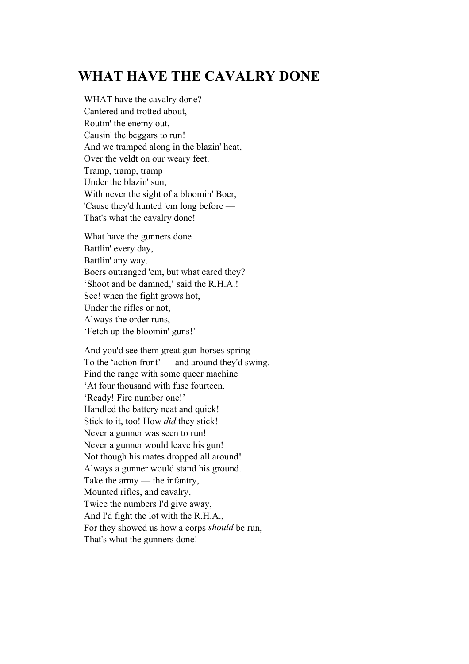## **WHAT HAVE THE CAVALRY DONE**

WHAT have the cavalry done? Cantered and trotted about, Routin' the enemy out, Causin' the beggars to run! And we tramped along in the blazin' heat, Over the veldt on our weary feet. Tramp, tramp, tramp Under the blazin' sun, With never the sight of a bloomin' Boer, 'Cause they'd hunted 'em long before — That's what the cavalry done!

What have the gunners done Battlin' every day, Battlin' any way. Boers outranged 'em, but what cared they? 'Shoot and be damned,' said the R.H.A.! See! when the fight grows hot, Under the rifles or not, Always the order runs, 'Fetch up the bloomin' guns!'

And you'd see them great gun-horses spring To the 'action front' — and around they'd swing. Find the range with some queer machine 'At four thousand with fuse fourteen. 'Ready! Fire number one!' Handled the battery neat and quick! Stick to it, too! How *did* they stick! Never a gunner was seen to run! Never a gunner would leave his gun! Not though his mates dropped all around! Always a gunner would stand his ground. Take the army — the infantry, Mounted rifles, and cavalry, Twice the numbers I'd give away, And I'd fight the lot with the R.H.A., For they showed us how a corps *should* be run, That's what the gunners done!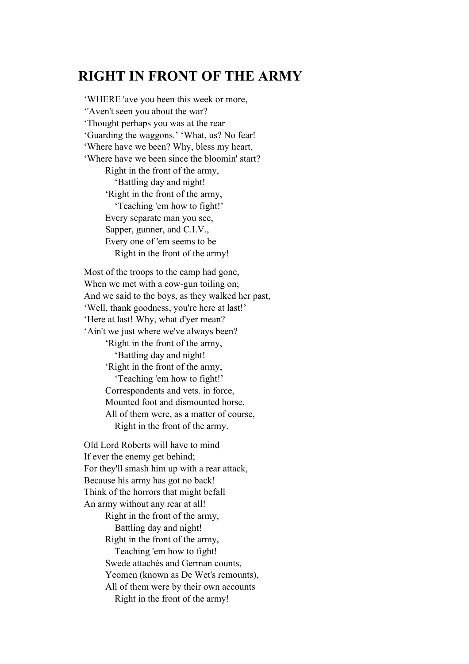#### **RIGHT IN FRONT OF THE ARMY**

'WHERE 'ave you been this week or more, ''Aven't seen you about the war? 'Thought perhaps you was at the rear 'Guarding the waggons.' 'What, us? No fear! 'Where have we been? Why, bless my heart, 'Where have we been since the bloomin' start? Right in the front of the army, 'Battling day and night! 'Right in the front of the army, 'Teaching 'em how to fight!' Every separate man you see, Sapper, gunner, and C.I.V., Every one of 'em seems to be Right in the front of the army!

Most of the troops to the camp had gone, When we met with a cow-gun toiling on; And we said to the boys, as they walked her past, 'Well, thank goodness, you're here at last!' 'Here at last! Why, what d'yer mean? 'Ain't we just where we've always been? 'Right in the front of the army, 'Battling day and night!

'Right in the front of the army,

 'Teaching 'em how to fight!' Correspondents and vets. in force, Mounted foot and dismounted horse, All of them were, as a matter of course, Right in the front of the army.

Old Lord Roberts will have to mind If ever the enemy get behind; For they'll smash him up with a rear attack, Because his army has got no back! Think of the horrors that might befall An army without any rear at all! Right in the front of the army, Battling day and night! Right in the front of the army, Teaching 'em how to fight! Swede attachés and German counts, Yeomen (known as De Wet's remounts), All of them were by their own accounts Right in the front of the army!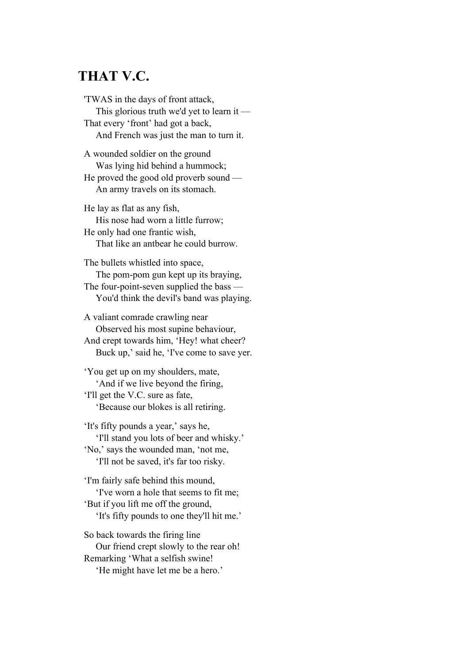## **THAT V.C.**

'TWAS in the days of front attack, This glorious truth we'd yet to learn it — That every 'front' had got a back, And French was just the man to turn it.

A wounded soldier on the ground Was lying hid behind a hummock; He proved the good old proverb sound — An army travels on its stomach.

He lay as flat as any fish, His nose had worn a little furrow; He only had one frantic wish, That like an antbear he could burrow.

The bullets whistled into space, The pom-pom gun kept up its braying, The four-point-seven supplied the bass — You'd think the devil's band was playing.

A valiant comrade crawling near Observed his most supine behaviour, And crept towards him, 'Hey! what cheer? Buck up,' said he, 'I've come to save yer.

'You get up on my shoulders, mate, 'And if we live beyond the firing, 'I'll get the V.C. sure as fate, 'Because our blokes is all retiring.

'It's fifty pounds a year,' says he, 'I'll stand you lots of beer and whisky.' 'No,' says the wounded man, 'not me, 'I'll not be saved, it's far too risky.

'I'm fairly safe behind this mound, 'I've worn a hole that seems to fit me; 'But if you lift me off the ground, 'It's fifty pounds to one they'll hit me.'

So back towards the firing line Our friend crept slowly to the rear oh! Remarking 'What a selfish swine! 'He might have let me be a hero.'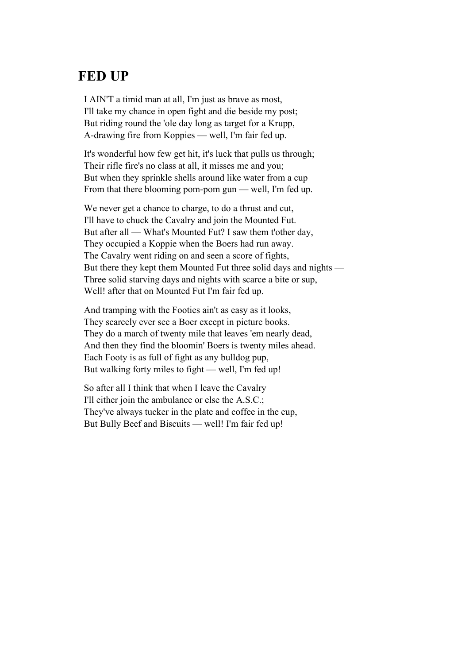#### **FED UP**

I AIN'T a timid man at all, I'm just as brave as most, I'll take my chance in open fight and die beside my post; But riding round the 'ole day long as target for a Krupp, A-drawing fire from Koppies — well, I'm fair fed up.

It's wonderful how few get hit, it's luck that pulls us through; Their rifle fire's no class at all, it misses me and you; But when they sprinkle shells around like water from a cup From that there blooming pom-pom gun — well, I'm fed up.

We never get a chance to charge, to do a thrust and cut, I'll have to chuck the Cavalry and join the Mounted Fut. But after all — What's Mounted Fut? I saw them t'other day, They occupied a Koppie when the Boers had run away. The Cavalry went riding on and seen a score of fights, But there they kept them Mounted Fut three solid days and nights — Three solid starving days and nights with scarce a bite or sup, Well! after that on Mounted Fut I'm fair fed up.

And tramping with the Footies ain't as easy as it looks, They scarcely ever see a Boer except in picture books. They do a march of twenty mile that leaves 'em nearly dead, And then they find the bloomin' Boers is twenty miles ahead. Each Footy is as full of fight as any bulldog pup, But walking forty miles to fight — well, I'm fed up!

So after all I think that when I leave the Cavalry I'll either join the ambulance or else the A.S.C.; They've always tucker in the plate and coffee in the cup, But Bully Beef and Biscuits — well! I'm fair fed up!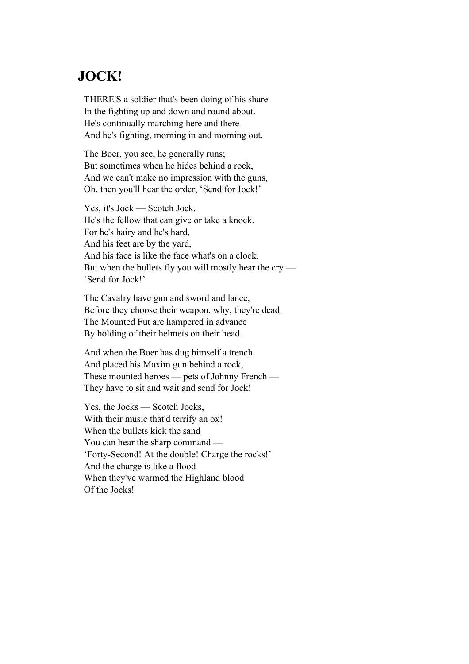#### **JOCK!**

THERE'S a soldier that's been doing of his share In the fighting up and down and round about. He's continually marching here and there And he's fighting, morning in and morning out.

The Boer, you see, he generally runs; But sometimes when he hides behind a rock, And we can't make no impression with the guns, Oh, then you'll hear the order, 'Send for Jock!'

Yes, it's Jock — Scotch Jock. He's the fellow that can give or take a knock. For he's hairy and he's hard, And his feet are by the yard, And his face is like the face what's on a clock. But when the bullets fly you will mostly hear the cry — 'Send for Jock!'

The Cavalry have gun and sword and lance, Before they choose their weapon, why, they're dead. The Mounted Fut are hampered in advance By holding of their helmets on their head.

And when the Boer has dug himself a trench And placed his Maxim gun behind a rock, These mounted heroes — pets of Johnny French — They have to sit and wait and send for Jock!

Yes, the Jocks — Scotch Jocks, With their music that'd terrify an ox! When the bullets kick the sand You can hear the sharp command — 'Forty-Second! At the double! Charge the rocks!' And the charge is like a flood When they've warmed the Highland blood Of the Jocks!